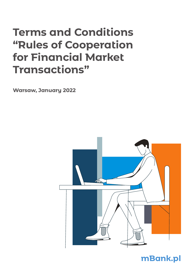# **Terms and Conditions "Rules of Cooperation for Financial Market Transactions"**

**Warsaw, January 2022**



# **mBank.pl**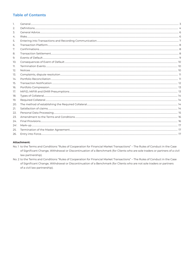# **Table of Contents**

| 1.      |  |
|---------|--|
| 2.      |  |
| 3.      |  |
| 4.      |  |
| 5.      |  |
| 6.      |  |
| 7.      |  |
| 8.      |  |
| 9.      |  |
| 10.     |  |
| 11.     |  |
| 12.     |  |
| 13.     |  |
| 14.     |  |
| 15.     |  |
| 16.     |  |
| 17.     |  |
| 18.     |  |
| 19.     |  |
| 20.     |  |
| 21.     |  |
| 22.     |  |
| 23.     |  |
| 24.     |  |
| $241$ . |  |
| 25.     |  |
| 26.     |  |

# Attachment:

- No.1 to the Terms and Conditions "Rules of Cooperation for Financial Market Transactions" The Rules of Conduct in the Case of Significant Change, Withdrawal or Discontinuation of a Benchmark (for Clients who are sole traders or partners of a civil law partnership).
- No. 2 to the Terms and Conditions "Rules of Cooperation for Financial Market Transactions" The Rules of Conduct in the Case of Significant Change, Withdrawal or Discontinuation of a Benchmark (for Clients who are not sole traders or partners of a civil law partnership).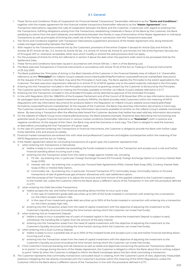# **§ 1. General**

- 1. These Terms and Conditions "Rules of Cooperation for Financial Market Transactions" (hereinafter referred to as the "Terms and Conditions") together with the master agreement for the financial market transactions (hereinafter referred to as the "**Master Agreement**") and Transaction Descriptions, regulates the rules of cooperation between the Bank and the Customer, in particular with regard to entering into the Transactions, fulfilling obligations arising from the Transactions, establishing Collaterals in favour of the Bank by the Customer, the Bank satisfying its claims from the said Collaterals, and settlements between the Parties in case of termination of the Master Agreement or individual Transactions as well as principles of limiting the credit risk of the Parties in connection with the Transactions executed.
- 2. The Terms and Conditions together with Transaction Descriptions supplement provisions of the Master Agreement and, along therewith, create one legal relationship between the Parties.
- 3. With respect to the Transactions entered into by the Customers, provisions of the entire Chapter II (except for Article 32a) and Article 34, Articles 35-37, Article 40 Sec. 3-4, Article 45, Article 46 Sec. 2-5, Article 47, Article 48, Article 51, and Articles 144-146 of the Payment Services Act of 19 August 2011 or, whenever acceptable, other laws which modify or amend the said provisions shall not apply.
- 4. For the purposes of Article 54 of the Act referred to in section 3 above the date when the payment order starts to be processed shall be the Settlement Date.
- 5. These Terms and Conditions have been issued in accordance with Article 109 Sec. 1, Item 4 of the Banking Law.
- 6. The Bank executes Transactions in financial instruments in accordance with Article 70 (2) of the Act on Trading in Financial Instruments of 29 July 2005.
- 7. The Bank publishes the "Principles of Acting in the Best Interests of the Customer in the Financial Markets Area of mBank S.A." (hereinafter referred to as the **"Principles"**) on mBank Group's website (www.mbank.pl/en/help/forms/sme-corporate/financial-market/best-execution/). At the request of the Customer, the Bank may send the Principles in hard copy. The Bank applies the Principles to the extent applicable to the Customer. The best execution requirement referred to in Article 27 (1) of MiFID applies only to the extent explicitly indicated in the Principles.
- 8. Entering into the Transaction included in the Principles is tantamount to granting consent by the Customer to be bound by the Principles.
- 9. The Customer grants his/her consent to making the Principles available to him/her via mBank Group's website referred to in § 1.7.
- 10. Entering into the Transaction included in the amended Principles will be deemed as approval of the amended Principles.
- 11. In line with Regulation (EU) No. 1286/2014 of the European Parliament and of the Council of 26 November 2014 on key information documents for packaged retail and insurance-based investment products (PRIIPs), the Bank provides retail Customers within the meaning of MiFID Regulations with key information documents for products listed in the Regulation on mBank Group's website (www.mbank.pl/en/help/ forms/sme-corporate/financial-market/priip/). At the request of the Customer, the Bank may send key information documents in hard copy. The Customer consents to making amendments to key information documents available to him/her on the mBank Group's website mentioned above. By executing a Transaction after the effective date hereof the Customer declares that he/she has read valid key information documents.
- 11'. On the website of mBank Group (www.mbank.pl/en/scenarios), the Bank presents example, illustrative data describing the functioning and potential result of a given financial instrument in various market conditions (hereinafter referred to as **"Scenarios"**), both in positive and negative conditions. At the request of the Client, the Bank may send the Scenarios in hard copy. The Client is obliged to read the Scenario at least before concluding the first Transaction of a given type.
- 12. In the case of Customers entering into Transactions in financial instruments, the Customer is obliged to provide the Bank with his/her Legal Entity Identifier (LEI) and ensure its validity.
- 13. Financial market transactions are entered into with retail and professional Customers and eligible counterparties within the meaning of the MiFID Regulations and the Act on Trading.
- 14. If the Master Agreement allows for concluding transactions of a given type, the Customer represents that:
- when entering into Transactions in Derivatives:
	- a/ he/she is ready to incur a possible loss exceeding the funds invested to enter into the Transaction and accepts such a risk and his/her financial standing allows incurring such a loss,
	- b/ entering into the Transaction arises from the need to hedge against market risk, including:
		- i/ FX risk by entering into, in particular: Foreign Exchange Forward (FX Forward), Foreign Exchange Option or Currency Interest Rate Swap (CIRS),
		- ii/ Interest rate risk by entering into, in particular: Forward Rate Agreements (FRA), Interest Rate Swap (IRS), Currency Interest Rate Swap (CIRS) or Interest Rate Option,
		- iii/ Commodity risk by entering into, in particular: Forward Transaction (FT), Commodity Swap, Commodity Option or Forward transactions of sale of greenhouse gas emission allowances with cash settlement option;

 and the purpose of the Transaction is to adjust the structure and time horizon of the applied collateral to the Customer's exposure to the market risk, unless the Customer informs the Bank about a different nature of the Transaction in line with the procedure defined in § 17.1,

- 2/ when entering into Debt Securities Transactions:
	- a/ he/she accepts the risk, and his/her financial standing allows him/her to incur such a loss:
		- $i/$  in the case of investment grade debt securities up to 20% of the funds invested in connection with entering into a transaction (i.e. the Client accepts medium risk),
		- ii/ in the case of non-investment grade debt securities up to 100% of the funds invested in connection with entering into a transaction (i.e. the Client accepts high risk),
	- b/ entering into the Transaction arises from the need of capital investment with the objective of adjusting the investment to the Customer's liquidity structure (including the time horizon during which the Customer can invest free funds),
- 3/ when entering into an Investment Deposit:
	- a/ he/she is ready to incur a possible loss of a part of invested capital in the case where the Investment Deposit is subject to early withdrawal, the handling fee is higher than the amount of the early interest.
	- b/ entering into the Transaction arises from the need of capital investment with the objective of adjusting the investment to the Customer's liquidity structure (including the time horizon during which the Customer can invest free funds),
- 4/ when entering into a Dual-Currency Deposit:
	- a/ he/she is ready to incur a possible loss of up to 100% of the invested funds and accepts such a risk and his/her financial standing allows incurring such a loss,
	- b/ entering into the Transaction arises from the need of capital investment with the objective of adjusting the investment to the Customer's liquidity structure (including the time horizon during which the Customer can invest free funds),
- 5/ if the Customer's financial standing and risk tolerance as well as needs and objectives concerning the particular Transactions referred to in points 1-4 change during the term of the Master Agreement, the Customer is obliged to inform the Bank about this in writing, subject to point 1 letter b) when the Customer is obliged to inform the Bank's employee about this fact while concluding a transaction.
- 15. The Customer represents that commodity transactions concluded result in creating, from the Customer's point of view, objectively measurable positions mitigating the risk directly connected with the Customer's business within the meaning of the MiFID Regulations, unless the Customer informs the Bank about a different nature of the Transaction in line with the procedure defined in § 17.1.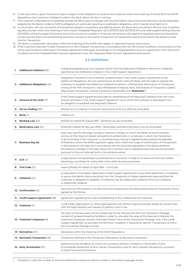- 16. In the case when a given Transaction type is subject to the obligation to trade for the Customer within the meaning of Article 28 of the MIFIR Regulations, the Customer is obliged to inform the Bank about this fact in writing.
- 17. The Customer undertakes to immediately provide the Bank upon its request with any information, documents and data that may be reasonably expected by the Bank in order to fulfill its obligations, in particular reporting or publication obligations, which may be incumbent on it.
- 18. In connection with the conclusion of Transactions based on quotations provided by phone, the Bank does not perform the function of another liquidity provider within the meaning of Commission Delegated Regulation (EU) 2017/575 (UE) 2017/576 of 8 June 2016 supplementing Directive 2014/65/EU of the European Parliament and of the Council on markets in financial instruments with regard to regulatory technical standards concerning the data to be published by execution venues on the quality of execution of transactions and thus the Bank may refuse to enter into the Transaction.
- 19. The Bank is a systematic internaliser within the meaning of the MiFIR with respect to selected financial instruments.
- 20. If the Customer executes FX Spot Transactions or Term Deposit Transactions in accordance with the Terms and Conditions, the provisions of the Terms and Conditions referring to the Master Agreement shall apply accordingly to the Integrated Bank Account Agreement. If the Terms and Conditions and the Integrated Bank Account Agreement vary, the Integrated Bank Account Agreement shall prevail.

# **§ 2. Definitions**

|    | 1. Additional Collateral (39) <sup>1</sup>         | Collateral established by the Customer (other than the Required Collateral or Minimum Collateral),<br>specified as the Additional Collateral in the Credit Support Agreement.                                                                                                                                                                                                                                                                                                                                                                                                                                                                                                                  |
|----|----------------------------------------------------|------------------------------------------------------------------------------------------------------------------------------------------------------------------------------------------------------------------------------------------------------------------------------------------------------------------------------------------------------------------------------------------------------------------------------------------------------------------------------------------------------------------------------------------------------------------------------------------------------------------------------------------------------------------------------------------------|
|    | 2. Additional Obligations (45)                     | obligations imposed on the Customer, as determined in the Credit Support Agreement as the<br>Additional Obligations, the non-performance of which vests the Bank with the right to request the<br>Customer to establish the Additional Collateral or perform a Partial Early Termination of Transaction,<br>closing of the FRA Transaction, Early Withdrawal of Deposit, Early Termination of Transaction, Option<br>Repurchase Transaction, Closing Transaction (hereinafter the "Reduction").                                                                                                                                                                                                |
|    | <b>3.</b> Amount of the Limit (17)                 | if the Credit Support Agreement provides for establishing of the Required Collateral, then this is the<br>amount provided in the Credit Support Agreement up to which the Customer is discharged from<br>an obligation to establish the Required Collateral.                                                                                                                                                                                                                                                                                                                                                                                                                                   |
|    | 3 <sup>1</sup> . Act on Trading (38 <sup>1</sup> ) | [Polish] Act on Trading in Financial Instruments of 29 July 2005 (as amended).                                                                                                                                                                                                                                                                                                                                                                                                                                                                                                                                                                                                                 |
|    | 4. Bank (1)                                        | mBank S.A.;                                                                                                                                                                                                                                                                                                                                                                                                                                                                                                                                                                                                                                                                                    |
|    | 5. Banking Law $(22)$                              | [Polish] Act dated 29 August 1997 – Banking Law (as amended).                                                                                                                                                                                                                                                                                                                                                                                                                                                                                                                                                                                                                                  |
|    | 6. Bankruptcy Law (23)                             | [Polish]Act dated 28 February 2003 – Bankruptcy and Reconstruction Law (as amended).                                                                                                                                                                                                                                                                                                                                                                                                                                                                                                                                                                                                           |
| 7. | <b>Business Day (4)</b>                            | every day, save for Saturday, Sunday or statutory holiday, on which the Bank conducts business<br>activity on the financial market and performs settlements in currencies, in which the Transaction<br>is denominated; if the Customer is a business entity having it registered seat outside the Republic<br>of Poland to whom the EMIR Legislation apply, then, within the scope of confirmation of Transactions<br>in Derivatives on the days set in accordance with the principle stipulated in the above sentence,<br>the statutory holidays in the state where the Customer has its registered seat shall also be excluded<br>pursuant to the principle set forth in the sentence above. |
|    | <b>7'. CCP</b> $(3)$                               | a legal person acting between counterparties of contracts in trade on at least one financial market,<br>becoming a purchaser for every seller and a seller for every purchaser.                                                                                                                                                                                                                                                                                                                                                                                                                                                                                                                |
|    | <b>8. Civil Code (12)</b>                          | means [Polish] Act dated 23 April 1964 - Civil Code.                                                                                                                                                                                                                                                                                                                                                                                                                                                                                                                                                                                                                                           |
|    | 9. Collateral (42)                                 | as stipulated in the Master Agreement, Credit Support Agreement or any other agreement, a Collateral<br>to secure the Bank's claims resulting from the Transaction or Master Agreement executed that the<br>Customer is obligated to establish. A Collateral may be a Required Collateral, Minimum Collateral<br>or Additional Collateral.                                                                                                                                                                                                                                                                                                                                                     |
|    | 10. Confirmation (21)                              | document or information in an electronic form prepared by the Bank presenting the Transaction Terms<br>agreed by the Parties.                                                                                                                                                                                                                                                                                                                                                                                                                                                                                                                                                                  |
|    | 11. Credit Support Agreement (38)                  | agreement regulating the rules of establishing of the Collateral by the Customer.                                                                                                                                                                                                                                                                                                                                                                                                                                                                                                                                                                                                              |
|    | 12. Customer (11)                                  | a sole trader, legal person or other organisational unit without legal personality vested, by virtue of law,<br>with the legal capacity and capacity to perform acts in law.                                                                                                                                                                                                                                                                                                                                                                                                                                                                                                                   |
|    | 13. Customer's Exposure (9)                        | the value of the equivalent of the market risk for the Transactions that the Transaction Package<br>consists of, as determined by the Bank in order to calculate the value of the Required Collateral; the<br>Customer's Exposure consists of the Net Present Value of the Transaction Package, and, if the Credit<br>Support Agreement so provides, the Minimum Collateral, if required for specific Transactions of which<br>the Transaction Package consists.                                                                                                                                                                                                                               |
|    | 13 <sup>1</sup> . Derivatives $(10^1)$             | derivatives within the meaning of the EMIR Regulations.                                                                                                                                                                                                                                                                                                                                                                                                                                                                                                                                                                                                                                        |
|    | 14. Derivative Transaction (35)                    | Transaction defined in the Transaction Description as derivative transaction.                                                                                                                                                                                                                                                                                                                                                                                                                                                                                                                                                                                                                  |
|    | 15. Early Termination (37)                         | performance by the Bank, as a result of occurrence of Event of Default or Termination Event,<br>of immediate settlement of all or certain Transactions, save for Term Deposit Transactions, pursuant<br>to these Terms and Conditions.                                                                                                                                                                                                                                                                                                                                                                                                                                                         |

<sup>1</sup> Translator's note: the number at the end of definition means its ordinal number in the Polish language version.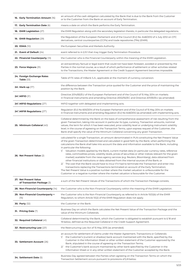| 16. Early Termination Amount (16)                      | an amount of the cash obligation calculated by the Bank that is due to the Bank from the Customer<br>or to the Customer from the Bank on account of Early Termination.                                                                                                                                                                                                                                                                                                                                                                                                                                                                                                                                                                                                                                                                                                                                                                                                                                                                                                                                                                                                 |
|--------------------------------------------------------|------------------------------------------------------------------------------------------------------------------------------------------------------------------------------------------------------------------------------------------------------------------------------------------------------------------------------------------------------------------------------------------------------------------------------------------------------------------------------------------------------------------------------------------------------------------------------------------------------------------------------------------------------------------------------------------------------------------------------------------------------------------------------------------------------------------------------------------------------------------------------------------------------------------------------------------------------------------------------------------------------------------------------------------------------------------------------------------------------------------------------------------------------------------------|
| 17. Early Termination Date (6)                         | means a date on which the Bank performs the Early Termination.                                                                                                                                                                                                                                                                                                                                                                                                                                                                                                                                                                                                                                                                                                                                                                                                                                                                                                                                                                                                                                                                                                         |
| 18. EMIR Legislation (27)                              | the EMIR Regulation along with the secondary legislation thereto, in particular the delegated regulations.                                                                                                                                                                                                                                                                                                                                                                                                                                                                                                                                                                                                                                                                                                                                                                                                                                                                                                                                                                                                                                                             |
| 19. EMIR Regulation (29)                               | the Regulation of the European Parliament and of the Council (EU) No. 648/2012 of 4 July 2012 on OTC<br>derivatives, central counterparties (CCPs) and trade repositories (TRs) (EMIR).                                                                                                                                                                                                                                                                                                                                                                                                                                                                                                                                                                                                                                                                                                                                                                                                                                                                                                                                                                                |
| 20. ESMA (10)                                          | the European Securities and Markets Authority.                                                                                                                                                                                                                                                                                                                                                                                                                                                                                                                                                                                                                                                                                                                                                                                                                                                                                                                                                                                                                                                                                                                         |
| 21. Event of Default $(24)$                            | event referred to in § 9.1 that may trigger Early Termination Procedure.                                                                                                                                                                                                                                                                                                                                                                                                                                                                                                                                                                                                                                                                                                                                                                                                                                                                                                                                                                                                                                                                                               |
| 22. Financial Counterparty (13)                        | the Customer who is the Financial Counterparty within the meaning of the EMIR Legislation.                                                                                                                                                                                                                                                                                                                                                                                                                                                                                                                                                                                                                                                                                                                                                                                                                                                                                                                                                                                                                                                                             |
| 23. Force Majeure (31)                                 | an extraordinary factual or legal event that could not have been foreseen, avoided or prevented by the<br>Parties in the normal course, as a result of which performance of settlement or other activities related<br>to the Transactions, the Master Agreement or the Credit Support Agreement becomes impossible.                                                                                                                                                                                                                                                                                                                                                                                                                                                                                                                                                                                                                                                                                                                                                                                                                                                    |
| 24. Foreign Exchange Rates<br>Table $(33)$             | Table of FX rates of mBank S.A., applicable at the moment of currency conversion.                                                                                                                                                                                                                                                                                                                                                                                                                                                                                                                                                                                                                                                                                                                                                                                                                                                                                                                                                                                                                                                                                      |
| 24 <sup>1</sup> . Mark-up (17 <sup>1</sup> )           | the difference between the Transaction price quoted for the Customer and the price of maintaining the<br>position by the Bank.                                                                                                                                                                                                                                                                                                                                                                                                                                                                                                                                                                                                                                                                                                                                                                                                                                                                                                                                                                                                                                         |
| <b>24<sup>2</sup>. MiFID</b> $(3^2)$                   | Directive 2014/65/EU of the European Parliament and of the Council of 15 May 2014 on markets<br>in financial instruments and amending Directive 2002/92/EC and Directive 2011/61/EU (as amended)                                                                                                                                                                                                                                                                                                                                                                                                                                                                                                                                                                                                                                                                                                                                                                                                                                                                                                                                                                       |
| 24 <sup>3</sup> . MIFID Regulations (27 <sup>1</sup> ) | MiFID together with delegated and implementing acts.                                                                                                                                                                                                                                                                                                                                                                                                                                                                                                                                                                                                                                                                                                                                                                                                                                                                                                                                                                                                                                                                                                                   |
| 24 <sup>4</sup> .MIFIR Regulations (27 <sup>2</sup> )  | Regulation (EU) No 600/2014 of the European Parliament and of the Council of 15 May 2014 on markets<br>in financial instruments and amending Regulation (EU) No 648/2012 (as amended) with implementing acts.                                                                                                                                                                                                                                                                                                                                                                                                                                                                                                                                                                                                                                                                                                                                                                                                                                                                                                                                                          |
| 25. Minimum Collateral (40)                            | Collateral determined by the Bank on the basis of comprehensive assessment of risk resulting from the<br>given Transaction, taking into account in particular its type, currency, Transaction amounts, nominal<br>values, the term for which it has been executed, price volatility level or underlying instrument volatility<br>level; in the course of agreeing on the Transaction Terms, upon express request of the Customer, the<br>Bank shall specify the value of the Minimum Collateral concerning any given Transaction.                                                                                                                                                                                                                                                                                                                                                                                                                                                                                                                                                                                                                                      |
| 26. Net Present Value (2)                              | calculated for a single Transaction, an amount denominated in PLN constituting the Net Present Value<br>of the given Transaction determined and calculated in good faith by the Bank; when performing the<br>calculations the Bank shall take into account the data and information available to the Bank, including<br>in particular the following:<br>1/ Valuation models applied by the Bank, current market data (in particular currency rates, reference<br>rates, commodities prices, volatility levels, prices of securities or other indices relevant for the given<br>market) available from the news agency services (e.g. Reuters, Bloomberg), data obtained from<br>other financial institutions or data obtained from the internal sources of the Bank; or<br>2/ The cost that the Bank would have to incur if it had to terminate the Transaction and enter into<br>transactions replacing the Transactions terminated on account of the Early Termination;<br>The Net Present Value is a positive number where the market valuation is unfavourable for the<br>Customer or a negative number where the market valuation is favourable for the Customer. |
| 27. Net Present Value<br>of Transaction Package (3)    | a sum of the Net Present Values of the Transactions of which the Transaction Package consists;                                                                                                                                                                                                                                                                                                                                                                                                                                                                                                                                                                                                                                                                                                                                                                                                                                                                                                                                                                                                                                                                         |
| 28. Non-Financial Counterparty (14)                    | the Customer who is the Non-Financial Counterparty within the meaning of the EMIR Legislation.                                                                                                                                                                                                                                                                                                                                                                                                                                                                                                                                                                                                                                                                                                                                                                                                                                                                                                                                                                                                                                                                         |
| 29. Non-Financial Counterparty +<br>(15)               | the Customer who is the Non-Financial Counterparty as referred to in Article 10(1)(b) of the EMIR<br>Regulation, to whom Article 10(2) of the EMIR Regulation does not apply.                                                                                                                                                                                                                                                                                                                                                                                                                                                                                                                                                                                                                                                                                                                                                                                                                                                                                                                                                                                          |
| <b>30. Party</b> (32)                                  | the Customer or the Bank.                                                                                                                                                                                                                                                                                                                                                                                                                                                                                                                                                                                                                                                                                                                                                                                                                                                                                                                                                                                                                                                                                                                                              |
| <b>31. Pricing Date (7)</b>                            | Business Day on which the Bank calculates the Net Present Value of the Transaction Package and the<br>value of the Minimum Collaterals.                                                                                                                                                                                                                                                                                                                                                                                                                                                                                                                                                                                                                                                                                                                                                                                                                                                                                                                                                                                                                                |
| 32. Required Collateral (41)                           | Collateral determined by the Bank, which the Customer is obligated to establish pursuant to §18 and<br>19 below, defined as the Required Collateral in the Credit Support Agreement.                                                                                                                                                                                                                                                                                                                                                                                                                                                                                                                                                                                                                                                                                                                                                                                                                                                                                                                                                                                   |
| $321$ . Restructuring Law $(231)$                      | the Restructuring Law Act of 15 May 2015 (as amended).                                                                                                                                                                                                                                                                                                                                                                                                                                                                                                                                                                                                                                                                                                                                                                                                                                                                                                                                                                                                                                                                                                                 |
| 33. Settlement Account (26)                            | an account for settlement of claims under the Master Agreement, Transactions or Collaterals:<br>the Customer's (current or shadow) bank account maintained with the Bank, specified by the<br>1/<br>Customer in the Information Sheet or other written statement of the Customer approved by the<br>Bank, stipulated in the course of agreeing on the Transaction Terms;<br>the Customer's bank account maintained by other bank specified by the Customer in the<br>2/<br>Information Sheet or in any other written statement of the Customer accepted by the Bank.                                                                                                                                                                                                                                                                                                                                                                                                                                                                                                                                                                                                   |
| 34. Settlement Date (5)                                | Business Day agreed between the Parties when agreeing on the Transaction Terms on which the<br>Transaction Settlement occurs pursuant to provisions of §8 below.                                                                                                                                                                                                                                                                                                                                                                                                                                                                                                                                                                                                                                                                                                                                                                                                                                                                                                                                                                                                       |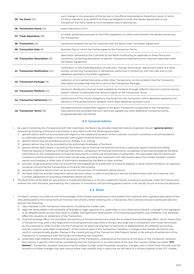| <b>35. Tax Event (43)</b>         | such change in the provisions of the tax law or the official interpretation thereof as a result of which<br>if a Party intends to duly perform its financial obligations under the Master Agreement or any<br>Transaction the Party needs to incur excessive costs or glaring loss. |
|-----------------------------------|-------------------------------------------------------------------------------------------------------------------------------------------------------------------------------------------------------------------------------------------------------------------------------------|
| 36. Termination Event (25)        | event referred to in § 11.1.                                                                                                                                                                                                                                                        |
| 37. Trade Repository (28)         | an entity authorised pursuant to the EMIR Legislation to collect and maintain the details concerning<br>the Transaction.                                                                                                                                                            |
| 38. Transaction (34)              | transaction entered into by the Customer with the Bank under the Master Agreement.                                                                                                                                                                                                  |
| 39. Transaction Date (8)          | Business Day on which the Parties agree on the Transaction Terms.                                                                                                                                                                                                                   |
| 40. Transaction Description (18)  | description delivered to the Customer by the Bank constituting an appendix to these Terms and<br>Conditions, containing description of specific Transactions selected by the Customer executed under<br>the Master Agreement.                                                       |
| 41. Transaction Notification (44) | notification, to the Trade Repository, of execution, change, termination, adjustment and/or any other<br>activity concerning Transactions in Derivatives, performed in conformity with the rules and on the<br>deadlines specified in the EMIR Legislation.                         |
| 42. Transaction Package (19)      | collection of non-settled Derivative and/or other Transactions, on the condition that the Transaction<br>Description provides that they form parts of the Transaction Package.                                                                                                      |
| 43. Transaction Platform (20)     | electronic distribution channel made available by the Bank through mBank's internet Customer service<br>system: mBank CompanyNet that allows to agree on the Transaction Terms.                                                                                                     |
| 44. Transaction Settlement (30)   | performance of the Parties' obligations resulting from the Transaction within deadlines agreed by the<br>Parties or, if the performance is delayed, within later deadlines pursuant to §8.                                                                                          |
| 45. Transaction Terms (36)        | the essential terms (essentialia negotii) of the given Transaction, as specified in the Transaction<br>Descriptions and, provided that such terms are agreed, any other additional Transaction terms,<br>as agreed between the Parties.                                             |

### **§ 3. General Advice**

- 1. As a part of entering into Transactions with the Customers, the Bank may provide investment advice of general nature ("general advice"), concerning investing in financial instruments in accordance with the following principles:
	- 1/ general advice shall not be provided with regard to the needs and situation of the Customer nor shall it constitute a recommendation to undertake specific steps in connection with a given financial instrument;
	- 2/ general advice may be provided by phone, verbally, or in writing,
	- 3/ general advice may only be provided by the authorised employees of the Bank,
	- 4/ general advice shall consist in providing information about financial instruments and may in particular apply to results (including historical results) of investing in financial instruments, comparison of financial instruments, comparison of services provided by the Bank, information on the characteristics of financial instruments, in particular the benefits of using them, the associated risks, the terms and conditions, and the situation in which they can be used, providing the Customers with information about the market situation, market reports and analyses or other type of information prepared by the Bank or other entities,
	- 5/ provision of general advice shall not account for the preparation of investment or financial analyses or other recommendation of a general character concerning the Transactions on financial instruments,
	- 6/ provision of general advice shall not account for the provision of investment advice service,
	- the Bank shall not provide investment advice services unless, in order to provide such service the Bank enters with the Customer into a written agreement on providing investment advice services.
- 2. The Bank shall not be liable for any actions or investment decisions, or for any investment results, including in particular under the Transactions entered into with the Bank, generated by the Customer in connection with providing general advice, or for results of such actions and decisions.

### **§ 4. Risks**

- 1. The Bank, acting in accordance with its knowledge of the market and experience, shall present the Customer with a general description of the risks attributable to the transactions on financial instruments. When entering into a Transaction, the Customer should in particular take into account the following:
	- 1/ risks indicated in the Transaction Description, including the market risks,
	- 2/ legal risk attributable to the possibility of changes to legal regulations or, potentially, to non-observance thereof; a change in the legislation or an illegal/unlawful activity may result in sudden and significant deterioration in the business parameters, and, therefore, may adversely affect the valuation or settlement of the Transaction,
	- 3/ financial leverage effect; the Derivative Transactions or forward transactions entail the so-called financial leverage effect, which means that a Transaction may yield a very large profit (including premium payment) or bring a very large loss in comparison with funds committed by the Customer in order to enter into the Transaction (in particular payment of premium or establishment of Collateral) accounting only for a portion, quite often insignificant, of the nominal value of the Transaction; therefore, a change in the market risk factors may result in a proportionally greater change in the current pricing of the Transaction (Net Present Value) or the amount of settlement of the Transaction in comparison with the funds committed by the Customer,
	- 4/ potentially high volatility of prices and valuations of the Transaction, understood as the volume of the price or the Transaction valuation fluctuations in specific time frames; considering that the Transaction is an instrument of the over-the-counter market (so-called "**OTC Market**"), Transaction valuation and price may be subject to high, quite frequently salutatory, changes, even in short time intervals, and the dynamics of these changes may take various levels; high volatility may in particular be the result of a limited volatility of the OTC market,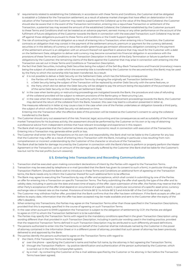- requirements related to establishing the Collaterals; in accordance with these Terms and Conditions, the Customer shall be obligated to establish a Collateral for the Transaction settlement; as a result of adverse market changes that have effect on deterioration in the valuation of the Transaction the Customer may need to supplement the Collateral up to the value of the Required Collateral; the Customer should also be aware that in the event of the Transaction termination, entering into a repurchase Transaction or settlement of the Transaction, a potential loss may exceed the amount of the established Collateral; the Collateral established by the Customer pursuant to these Terms and Conditions shall not be treated as an advance payment, earnest money or any other performance on the account of the fulfilment of future obligations of the Customer towards the Bank in connection with the executed Transaction; such Collateral may be set off against those obligations pursuant to these Terms and Conditions or the Credit Support Agreement,
- 6/ The risk of contracting a financial obligation as a result of entering into a Transaction; when entering into a Transaction, the Customer contracts an obligation that may consist in the payment of the settlement amount, premium or payment for the currency delivered, securities or in the delivery of currency or securities and/or greenhouse gas emission allowances; obligation consisting in the payment of the settlement amount is an obligation with an amount thereof not specified in advance that may result for the Customer with a debt on the Settlement Date; obligation to deliver sold currency may become converted into financial obligation in accordance with the provisions of these Terms and Conditions or the Transaction Description in the event of the Early Termination or failure to perform the obligations by the Customer; the remaining claims of the Bank against the Customer that may arise in connection with entering into the Transaction are set out in these Terms and Conditions or Transaction Description,
- 7/ the fact that Debt Securities, including Debt Securities being the subject of the Sell-Buy-Back Transactions and financial (monetary) means being the subject of collateral under which the ownership title is transferred by the Customer to the secured entity (the Bank) may be used by the Party to which the ownership title has been transferred. As a result:
	- a/ it is not possible to deliver a Debt Security on the Settlement Date, which has the following consequences:
		- i. the Parties will have to modify the Transaction Terms by changing the originally set Transaction Settlement Date, or
		- ii. a Debt Security being the subject of the Transaction will be replaced by another Debt Security with the same features, or iii. the Party which did not deliver the Debt Security will be obliged to pay the amount being the equivalent of the purchase price
	- of the same Debt Security on the initially set Settlement Date; b/ in the case when bankruptcy or restructuring proceedings are instigated towards the Bank, the procedure and rules of refunding of the collateral provided will be subject to relevant provisions of the Bankruptcy or Restructuring Law,
	- $c/$  in the case when the collateral is seized by the authority which has initiated enforcement proceedings towards the Bank, the Customer may demand the return of the collateral from the Bank, however, this case may lead to a situation presented in letter a).

 The measures referred to in letter a) may cause a loss in the case when one of the Parties undertakes an obligation towards a third party, the subject of which will be the Debt Security not delivered on time.

 Entering into the Transaction after the effective date of this provision will be treated as the Customer's consent to using the collateral transferred to the Bank.

- 2. The Customer should carry out assessment of the risk, financial, legal, accounting and tax consequences as well as suitability of the financial market Transactions for his business activity; the assessment should be performed by the Customer on his own or by way of obtaining a professional advice from independent entities that have relevant knowledge and experience in this respect.
- 3. The Bank shall not guarantee that the Customer achieves any specific economic result in connection with execution of the Transaction. Entering into a Transaction may generate either profit or loss.
- 4. The Customer shall enter into the Transactions on his own risk and responsibility; the Bank shall not be liable to the Customer for any loss that the Customer may suffer as a result of entering into a Transaction with the Bank, including in particular a loss resulting from noncomprehension or incorrect understanding by the Customer of the character or structure of the Transaction.
- 5. The Bank shall be liable for damage incurred by the Customer in connection with the Bank's failure to perform or properly perform the Master Agreement or the Transaction, up to an amount of the damage actually suffered by the Customer (the Bank shall be liable for the Customer's loss but not for the lost profits (*lucrum cessans*)).

# **§ 5. Entering into Transactions and Recording Communication**

- 1. Transaction shall be executed upon making concordant declarations of intent by the Parties with regard to the Transaction Terms.
- 2. Transaction may be executed by telephone or e-mail (provided that the Bank has given its consent to such a form), in particular through the Transaction Platform. Should the Bank wish to introduce in these Terms and Conditions an additional form of agreeing on the Transaction terms, the Bank needs only to inform the Customer thereof for such additional form to be effective.
- 3. The Bank may agree to executing the Transactions by way of offer and acceptance, which shall consist in submitting by one of the Parties an offer for entering into a Transaction on specific Transaction Terms. The Party submitting the offer shall specify the type of the offer and its validity date, including in particular the date and exact time of expiry of the offer. Upon submission of the offer, the Parties may reserve that the other Party's acceptance of the offer shall depend on occurrence of a specific event, in particular occurrence of a specific asset price, currency exchange rate or interest rate on the market. Provisions of Article 66' § 1 to Article 66' § 3 and Article 68' of the Civil Code shall not apply.
- 4. The Customer may withdraw his/her offer, provided that the Bank confirms that the offer has been withdrawn. If the Bank accepts an offer just before its expiry date, information that the offer has been accepted may be made available and sent to the Customer after the expiry of the offer's deadline.
- 5. When entering into Transactions, the Parties may agree on the Transaction Terms other than those specified in the Transaction Descriptions, provided that this is expressly specified in the course of agreeing on such Transaction Terms.
- 5<sup>1</sup>. In the case when pursuant to EMIR Legislation the Transaction is subject to the obligation of settlement by CCP, the Parties are obliged to agree on CCP to whom the Transaction Settlement is to be submitted.
- 6. The Parties may specify the Transaction Terms with regard to the mandatory conditions specified in the given Transaction Description using wording different than that provided in such Transaction Description, including in particular wording used in the trading practice, provided that the respective Transaction Terms defined in such Transaction Description may be attributed to such differently phrased definitions.
- 7. The persons authorized to enter into the Transactions on behalf of the Customer shall be individuals named by the Customer in the power of attorney contained in the Information Sheet or in a different power of attorney, provided that such power of attorney has been previously delivered to and approved by the Bank.
- 8. The parties identify the persons authorised to agree on the Transaction Terms with regard to:
	- the Client, if the Transaction Terms are being agreed:
	- a/ over the phone specifying the Customer's name and his/her full name, by the attorney in fact agreeing the Transaction Terms;
	- b/ through the Transaction Platform by positive identification and authentication of the person authorised by the Customer, which is carried out in the mBank CompanyNet system;
	- c/ by e-mail by contacting the Customer at the e-mail address specified by the Customer or his attorney in fact before the Transaction Terms have been agreed;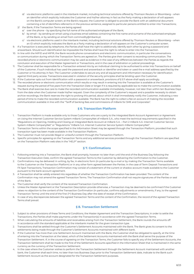- d/ via electronic platforms used in the interbank market, including technical solutions offered by Thomson Reuters or Bloomberg when an identifier which explicitly indicates the Customer and his/her attorney in fact as the Party making a declaration of will appears on the Bank's computer screen; at the Bank's request, the Customer is obliged to provide the Bank with an additional document containing a list of identifiers referred to in the previous sentence, assigned to particular persons entitled to enter into Transactions;
- 2/ the Bank, if the Transaction Terms are being agreed:
	- a/ over the phone by specifying the full name of the authorised employee of the Bank;
	- b/ by email by sending an email using a business email address containing the first name and surname of the authorised employee of the Bank, or by sending an email from commodity@mbank.pl;
	- c/ via electronic platforms used in the interbank market, including technical solutions offered by Thomson Reuters or Bloomberg when an ID which explicitly indicates the Bank as a Party making a declaration of will appears on the Customer's computer screen.
- 9. If a Transaction is executed by telephone, the Parties shall have the right to additionally identify each other by giving a password and answerback. Should such identification be impossible the Parties shall have the right to refuse to enter into the Transaction.
- 10. In line with the MiFID and MiFIR, the Bank records phone conversations and electronic communication, in particular the conversations or communication during which the Transaction Terms are agreed on. The Parties give their consent to recording communication. The recorded phone or electronic communication may be used as evidence in the case of any differences between the Parties as regards the conclusion and execution of the Master Agreement or Transactions, and in the case of arbitration or judicial proceedings.
- 11. The Customer shall be responsible for a Transaction entered into by an individual claiming to be authorised to enter into Transactions on behalf of the Customer, if such individual has used the password and answerback or identifier and token or used the e-mail address specified by the Customer or his attorney in fact. The Customer undertakes to secure any and all equipment and information necessary for identification against third party access. Transactions executed in violation of the security principles shall be binding upon the Customer.
- 12. If the Customer opts out from identification with a password or answerback, provisions of § 5.11 above shall apply accordingly.
- 13. The recorded phone or electronic communication which results or may result in entering into the Transaction is available at the Customer's request during the period of five years from the Transaction Date or longer if it is required by applicable law to make the communication available.
- 14. The Bank shall exercise due care to make the recorded communication available immediately, however, not later than within ten Business Days from the date when the Customer made his/her request. Given the complexity of the Customer's request and a possible necessity to obtain archive recordings, the Bank reserves the right to prolong this period, about which it shall immediately notify the Customer, indicating a new period of time to make the recorded communication available. The Bank has the right to collect a fee on account of making the recorded communication available in line with the "Tariff of banking fees and commissions of mBank for SME and Corporates".

### **§ 6. Transaction Platform**

- 1. Transaction Platform is made available only to those Customers who are a party to the Integrated Bank Account Agreement or Agreement on Using the Internet Customer Service System mBank CompanyNet of mBank S.A., who meet the technical requirements specified in the "Regulations on Opening, Holding and Closing an Integrated Bank Account at mBank S.A. – Part 2 mBank S.A. Internet Customer Service System mBank CompanyNet" or "Regulations "mBank S.A. Internet Customer Service System mBank CompanyNet".
- 2. Transaction Terms within the scope specified in the Information Sheet may be agreed through the Transaction Platform, provided that such transaction type has been made available in the Transaction Platform.
- 3. The Customer must not provide illegal or unlawful content through the Transaction Platform.
- 4. Specific principles for agreeing on the Transaction Terms and any additional services provided through the Transaction Platform are specified on the Transaction Platform web sites in the "HELP" section.

# **§ 7. Confirmations**

- 1. Following entering into a Transaction, the Bank shall promptly, however no later than until the end of the Business Day following the Transaction Execution Date, confirm the agreed Transaction Terms to the Customer by delivering the Confirmation to the Customer.
- 2. Confirmations may be delivered: in writing, by fax, in electronic form (in particular by e-mail or by making the Transaction Terms available to the Customer on the Transaction Platform) or in any other form agreed between the Parties. In the case of Term Deposit Transactions and FX Spot Transactions, Transaction Confirmation may consist of a statement of the current or shadow account made available to the Customer pursuant to the bank account agreement.
- 3. A Transaction shall be validly entered into regardless of whether the Transaction Confirmation has been provided. The content of the Confirmation may not amend the agreed Transaction Terms. The Transaction Confirmation shall not require signatures of the Parties or seal of the Bank.
- 4. The Customer shall verify the content of the received Transaction Confirmation.
- 5. Unless the Master Agreement or the Transaction Description provide otherwise, a Transaction may be deemed to be confirmed if the Customer raises no objection to the content of the Transaction Confirmation (in particular, confirms adjustments or amendments, if any, to the agreed Transaction Terms) until the end of the first (1st) Business Day after the date of receipt of the Confirmation.
- 6. In case of any discrepancies between the agreed Transaction Terms and the content of the Confirmation, the record of the agreed Transaction Terms shall prevail.

# **§ 8. Transaction Settlement**

- Subject to other provisions of these Terms and Conditions, the Master Agreement and the Transaction Descriptions, in order to settle the Transactions, the Parties shall make payments under the Transaction(s) in accordance with the agreed Transaction Terms.
- 1<sup>1</sup>. When calculating the amounts of liabilities and receivables arising from the Transaction Settlement, the Bank rounds the amounts off in accordance with the standard applicable at the interbank market for the given transaction type.
- 2. Transactions shall be settled through the Customer's Settlement Accounts maintained with the Bank. The Bank gives its consent to the settlements being made through the Customer's Settlement Accounts maintained with different bank.
- 3. If the Customer has more than one Settlement Account maintained with the Bank, the Customer shall be obligated to specify, at the time of entering into the Transaction at the latest, which of the Settlement Accounts maintained with the Bank shall serve the purpose of the Transaction Settlement. If, in the course of agreeing on the Transaction Terms, the Customer fails to specify any of the Settlement Accounts, the Transaction Settlement shall be made to the first of the Settlement Accounts specified in the Information Sheet that is maintained in the same currency as the currency of the Transaction Settlement.
- 4. In the case where the Customer wishes to perform the Transaction Settlement through the Settlement Account maintained with another bank, the Customer shall each time, no later than two Business Days prior to the Transaction Settlement date, indicate to the Bank such Settlement Account as the account designated for the Transaction Settlement purposes.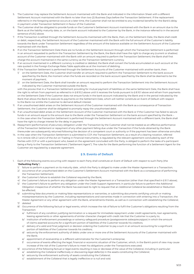- 5. The Customer may replace the Settlement Account maintained with the Bank and indicated in the Information Sheet with a different Settlement Account maintained with the Bank no later than two (2) Business Days before the Transaction Settlement. If the replacement referred to in the foregoing sentence occurs at a later time, the Customer shall not be entitled to any incidental benefits for the Bank's delay in payment under Transaction Settlement in favour of the Customer.
- The Customer shall be obligated to provide funds on the Customer's Settlement Account maintained with the Bank in an amount due to the Bank as at the liability maturity date, or, on the bank account indicated to the Customer by the Bank, in the instance referred to in the second sentence of § 8.2 above.
- 7. If the Transaction is settled through the Settlement Accounts maintained with the Bank, then, on the Settlement Date, the Bank shall credit or debit, respectively, the Settlement Account of the Customer maintained with the Bank with the full amount of the Customer's liability towards the Bank under Transaction Settlement regardless of the amount of the balance available on the Settlement Account of the Customer maintained with the Bank.
- 8. If on the Transaction Settlement Date there are no funds on the Settlement Account through which the Transaction Settlement is performed in an amount requested to perform the Transaction Settlement by the Bank, the Bank shall have the right to charge any (current or shadow) account of the Customer maintained with the Bank with an amount required to perform the Transaction Settlement; the Bank shall first charge the account maintained in the same currency as the Transaction Settlement currency.
- 9. If an account maintained in a different currency is credited or debited, the Bank shall convert the funds accumulated on such account at the rate quoted in the Foreign Exchange Rates Table applicable as at the moment of debiting. .
- 10. If the Transaction Settlement is performed through the Settlement Accounts of the Customer maintained with another bank, then: 1/ on the Settlement Date, the Customer shall transfer an amount required to perform the Transaction Settlement to the bank account specified by the Bank; the moment when the funds are recorded on the bank account specified by the Bank shall be deemed to be the moment of payment;
	- 2/ on the Settlement Date, the Bank shall transfer an amount required to perform the Transaction Settlement into the Settlement Account indicated by the Customer maintained outside the Bank;

 with the proviso that in a Transaction Settlement providing for mutual payment of liabilities on the same Settlement Date, the Bank shall have the right to refrain from payment as referred to in § 8.10.2 above until it receives the funds pursuant to § 8.10.1 above and refrain from payments on the Settlement Date if the Customer does not ensure funds in the bank account indicated by the Bank and in the period indicated by the Bank that allows the Bank to execute its payments on the Settlement Date, which will neither constitute an Event of Default with respect to the Bank nor entitle the Customer to demand default interest.

- 11. If an unauthorised debit arises on the Settlement Account of the Customer maintained with the Bank as a consequence of Transaction Settlement, the Customer shall be obligated to promptly repay the unauthorised debit.
- 12. If an unauthorised debit arises on the Settlement Account of the Customer maintained with the Bank or if the Customer has failed to secure funds in an amount equal to the amount due to the Bank under the Transaction Settlement on the bank account specified by the Bank – in the case when the Transaction Settlement is performed through the Settlement Account maintained with a different bank, the Bank shall have the right to charge interest for the delay in payment.
- 13. Repayment (performance) of pecuniary obligation under the Transaction by the Customer shall not be treated as an effective performance of the Transaction Settlement or repayment of any other payment falling due under the Transaction if the funds obtained by the Bank thereunder are subsequently returned following the decision of a competent court or authority or if the payment has been otherwise annulled.
- 14. In the case when the Transaction Settlement is submitted to CCP, the Transaction Settlement, as a result of a clearing novation, referred to in Article 45h.2.1 and 2 of the Act on Trading in Financial Instruments, is regulated by the relevant agreement concluded by each of the Parties with CCP or with a participant who, based on the agreement concluded with the Party, is obliged to perform the tasks of a participant being a Party to the Transaction Settlement ("Settlement Agent"). The rules for the Bank performing the function of a Settlement Agent for the Customer are regulated by a separate agreement.

# **§ 9. Events of Default**

- 1. Each of the following events occurring with respect to each Party shall constitute an Event of Default with respect to such Party (the "**Defaulting Party**"):
	- 1/ failure to perform a payment on its maturity date, which the Party is obliged to make under the Master Agreement or a Transaction;
	- 2/ occurrence of an unauthorised debit on the Customer's Settlement Account maintained with the Bank as a consequence of performing the Transaction Settlement;
	- 3/ the Customer's failure to establish the Collateral required by the Bank;
	- 4/ the Customer's failure to perform any obligation under the Master Agreement or a Transaction (other than that specified in § 9.1.1 above);
	- 5/ the Customer's failure to perform any obligation under the Credit Support Agreement; in particular failure to perform the Additional Obligation irrespective of whether the Bank has exercised its right to request that an Additional Collateral be established or Reduction be effected;
	- 6/ submitting false documents or making false representations or warranties, or submitting documents certifying untruth or making misrepresentations by the Customer, including representations and warranties made in connection with entering into a Transaction, the Master Agreement or any other agreement with the Bank, amendments thereto, as well as in connection with establishing the Collateral;
	- 7/ *deleted*
	- 8/ Occurrence of the following factual or legal events, which increase the risk of failure to fulfil the Customer's obligations resulting from the Transaction:
		- a/ fulfilment of any condition justifying termination or a request for immediate repayment under credit agreements, loan agreements, leasing agreements or other agreements of similar character charged with credit risk that the Customer is a party to;
		- b/ institution of enforcement proceedings or solvency safeguard procedure (postępowanie zabezpieczające) in which the amount of claims asserted accounts for a significant portion of liabilities of the Customer towards his creditors;
		- c/ delivery of a valid and final judgment or decision ordering the Customer to pay a sum in an amount accounting for a significant portion of liabilities of the Customer towards his creditors;
		- d/ seizure by the enforcement authority of debts under one or more one of the Settlement Accounts of the Customer maintained with the Bank;
		- e/ appointment of receivership or a different administrator for the Customer's enterprise;
		- f/ occurrence of events affecting the legal, financial or economic situation of the Customer, which, in the Bank's point of view may cause increase of the risk of the Customer's failure to meet his obligations under the Transactions executed;
	- 9/ occurrence of the following factual or legal events resulting in loss or decrease of the value of the Collateral, including in particular:
		- a/ establishing the Collateral ineffectively or discovering legal defect(s) in the assets constituting the Collateral;
		- b/ seizure by the enforcement authority of assets constituting the Collateral;
		- c/ establishment of the Collateral that is legally ineffective or is null and void.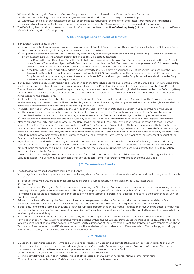- 10/ material breach by the Customer of terms of any transaction entered into with the Bank that is not a Transaction;
- 11/ the Customer's having ceased or threatening to cease to conduct the business activity in whole or in part;
- 12/ withdrawal or expiry of any consent or approval or other license required for the validity of the Master Agreement, the Transactions executed or allowing the Customer to perform his obligations under the Master Agreement or the executed Transaction.
- 2. The Defaulting Party shall be obligated to promptly inform the other Party (the "**Non-Defaulting Party**") of the occurrence of any of the Events of Default affecting the Defaulting Party.

# **§ 10. Consequences of Event of Default**

- 1. If an Event of Default occurs, then:
	- 1/ immediately after having become aware of the occurrence of Event of Default, the Non-Defaulting Party shall notify the Defaulting Party, by fax, e-mail or in writing, of stating the occurrence of Event of Default;
	- 2/ if, upon the lapse of the second (2nd) Business Day after the day of delivery (or attempted delivery pursuant to § 10.1 above) of the notice on the Event of Default, the Event of Default referred to in § 10.1 is continuing, then:
		- a/ if the Bank is the Non-Defaulting Party, the Bank shall have the right to perform an Early Termination by calculating the Net Present Value for each Transaction subject to Early Termination and calculate the Early Termination Amount pursuant to § 10.4 below; the day on which the Bank performs the Early Termination shall become the Early Termination Date;
		- b/ if the Bank is the Defaulting Party, and the notice referred to in § 10.1.1 above is not manifestly unfunded, the Bank shall set the Early Termination Date that may not fall later than on the twentieth (20<sup>th</sup>) Business Day after the notice referred to in § 10.1.1 and perform the Early Termination by calculating the Net Present Value for each Transaction subject to the Early Termination and calculate the Early Termination Amount pursuant to § 10.1.4 below.
- 2. If an Event of Default occurs with respect to a Party, then as of the time it has become aware of the Event of Default, the Non-Defaulting Party shall have the right to refrain from paying any amounts in favour of the Defaulting Party under the Transaction, save for the Term Deposit Transactions, and shall not be obligated to pay any late payment interest thereunder. The said right shall be vested in the Non-Defaulting Party until the Event of Default ceases to exist or becomes remedied and the Defaulting Party has settled any and all liabilities under the Master Agreement and the Transactions.
- 3. As of the Early Termination Date, the obligations of the Bank and the Customer (whether due or not) arising from the Transactions (save for the Term Deposit Transactions) shall become the obligation to determine and pay the Early Termination Amount (which, however, shall not constitute a novation within the meaning of Article 506 § 1 of the Civil Code).
- 4. The Early Termination Amount calculated by the Bank as at the Early Termination Date shall be equal to the sum of the following values: 1/ the sum of the due or undue liabilities of the Bank and the Customer under the Transactions (save for the Term Deposit Transactions) calculated in the manner set out for calculating the Net Present Value of each Transaction subject to the Early Termination; and
- 2/ the value of the matured liabilities due and payable by each Party under the Transactions (other than the Term Deposit Transactions). 5. After calculating the Early Termination Amount, the Bank shall either credit (if the Early Termination Amount is payable to the Customer) or debit (if the Early Termination Amount is payable to the Bank) the Settlement Account of the Customer maintained with the Bank. If the Customer has no Settlement Account maintained with the Bank, he shall be obligated to pay, no later than until the end of the Business Day following the Early Termination Date, the amount corresponding to the Early Termination Amount to the account specified by the Bank. If the
- Early Termination Amount is payable to the Customer, the Bank shall remit the Early Termination Amount to the Settlement Account of the Customer maintained outside the Bank. 6. Any calculations related to the computing of the Early Termination Amount are performed by the Bank. After having calculated the Early
- Termination Amount and performed the Early Termination, the Bank shall notify the Customer about the value of the Early Termination Amount in the manner specified in § 10.1.1 above. If the Customer requests so in writing, the Bank shall substantiate the Early Termination Amount calculated by the Bank.
- 7. The Bank shall have the right to request to be reimbursed for, and the Customer shall cover all documented costs and charges related to the Early Termination. The Bank may also seek compensation on general terms in accordance with provisions of the Civil Code.

#### **§ 11. Termination Events**

- 1. The following events shall constitute Termination Events:
	- 1/ change in the applicable provisions of law in such a way that the Transaction or settlement thereof becomes illegal or may result in breach of law;
	- 2/ event of Force Majeure, provided that such event of Force Majeure is continuing for at least three (3) Business Days;
	- 3/ Tax Event;
- 4/ other events specified by the Parties as an event constituting the Termination Event in separate representations, documents or agreements.
- 2. The Party affected by the Termination Event shall be obligated to promptly notify the other Party thereof, and in the case of the Tax Event the Party shall be obligated to present an opinion of an person holding appropriate professional qualifications to have the occurrence of such Tax Event confirmed.
- 3. Failure, by the Party affected by the Termination Event to make payment under the Transaction shall not be deemed as delay or Event of Default; however, the other Party shall have the right to refrain from performing mutual obligations under the Transaction.
- 4. If, after occurrence of the Termination Event, a Party has fulfilled a performance arising from a Transaction in favour of the other Party but has not received from the other Party any payable sum under the Transaction, the performing Party shall be entitled to request return of what was received by the second Party .
- 5. If the Termination Event occurs and affects either Party, the Parties in good faith shall enter into negotiations in order to eliminate the Termination Event; however, such negotiations may not last longer than five (5) Business Days, unless the Parties agree on a different deadline for completing negotiations. If the negotiations do not lead to elimination of the Termination Event, the Transaction, with respect to which the Termination Event referred to in § 11.1 above occurred, shall be settled early in accordance with § 10 above, which § 10 shall apply accordingly, without the necessity to observe the deadlines stipulated therein.

# **§ 12. Notices**

- 1. Unless the Master Agreement, the Terms and Conditions or Transaction Descriptions provide otherwise, any correspondence to the Client will be delivered to the phone number and address given by the Client in the Framework Agreement, Customer Information Sheet, other document accepted by the Bank, or to the last phone number and address known to the Bank.
- 2. Correspondence and/or information shall be deemed to be effectively delivered:
	- 1/ if directly delivered upon confirmation of receipt of the letter by the Customer, its representative or attorney in fact:
	- 2/ if sent by fax upon the sender Party's receipt of correct send confirmation message;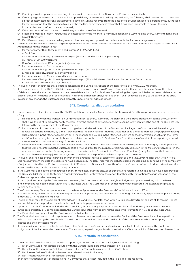- 3/ if sent by e-mail upon correct sending of the e-mail to the server of the Bank or the Customer, respectively;
- 4/ if sent by registered mail or courier service upon delivery or attempted delivery; in particular, the following shall be deemed to constitute a proof of attempted delivery:, an appropriate advice in writing received from the post office, courier service or a different entity authorised for service stating that the deadline to collect the mail has expired ineffectively or that it has been impossible to deliver the mail, in particular due to refusal to accept the mail;
- 5/ if the Customer refused to accept the delivery on the date of such refusal;
- 6/ e-banking message upon introducing the message into the means of e-communications in a way enabling the Customer to familiarize himself therewith;
- 7/ if a different correspondence delivery method has been agreed upon in accordance with the Parties arrangements.
- 3. The Bank hereby provides the following correspondence details for the purpose of cooperation with the Customer with regard to the Master Agreement and the Transaction(s):
	- 1/ for matters other than those mentioned in items § 12.3.2 and § 12.3.3: mBank S.A. Departament Sprzedaży Rynków Finansowych (Financial Markets Sales Department) ul. Prosta 18, 00-850 Warszawa Bank's e-mail address: DSM\_negocjacje@mbank.pl
	- 2/ for matters related to Confirmations: Departament Obsługi i Rozliczeń Rynków Finansowych (Financial Markets Service and Settlements Department) E-mail address: potwierdzenia.klient@mbank.pl
	- 3/ for matters related to Collaterals and Mark-up information:
		- Departament Obsługi i Rozliczeń Rynków Finansowych (Financial Markets Service and Settlements Department) E-mail address: collateral.klient@mbank.pl
- 4. The Bank hereby announces that all details concerning the Bank are available at the Bank's web site: http//www.mbank.pl.
- 5. If the notice referred to in § 12.2.1 § 12.2.4 is delivered after business hours on a Business Day or a day that is not a Business Day at the place of delivery, the notice shall be deemed to have been delivered on the first Business Day following the day on which the notice was delivered at the place of delivery. The notice shall be irrevocable in absence of manifest error, and, if so, then it shall be revocable only to the extent of the error.
- 6. In case of any change, the Customer shall promptly update his/her address details.

### **§ 13. Complaints, dispute resolution**

- 1. Unless provisions of law (in particular the EMIR Legislation, the Master Agreement or the Terms and Conditions) provide otherwise, in the event of any:
	- discrapency between the Transaction Confirmation sent to the Customer by the Bank and the agreed Transaction Terms, the Customer shall have the right to promptly notify the Bank over the phone of any objections, however, no later than until the end of the Business Day following the date of receipt of the Conformation;
	- 2/ inconsistencies in the content of the report together with the valuation of the Transaction Package, the Customer shall have the right to raise objections in writing, by e-mail (provided that the Bank has informed the Customer of its e-mail address for the purpose of raising such objection in the Master Agreement or in the manner as provided in the Master Agreement or the Information Sheet, or in the Terms and Conditions) or by fax, promptly, however no later than within two (2) Business Days from the date of receipt of the report together with valuation of the Transaction Package from the Bank; and
	- 3/ inconsistencies in the content of the Collateral report, the Customer shall have the right to raise objections in writing by e-mail (provided that the Bank has informed the Customer of its e-mail address for the purpose of raising such objection in the Master Agreement or in the manner as provided in the Master Agreement or the Information Sheet, or in the Terms and Conditions) or by fax, promptly, however no later than within two (2) Business Days from the date of receipt of the Collateral report from the Bank.
- 2. The Bank shall its best efforts to provide answer or explanations thereto by telephone, telefax or e-mail, however no later than within five (5) Business Days from the date the objections have been raised. The Bank reserves the right to extend the deadline depending on the complexity of objections raised by the Customer pursuant to § 13.1 above; the Bank shall promptly inform the Customer of such deadline extension and set a new deadline to provide the answer or explanations.
- 3. If the Customer's objections are recognised, then, immediately after the answer or explanations referred to in § 13.2 above have been provided, the Bank shall deliver to the Customer a revised version of the Confirmation, the report together with Transaction Package valuation or the Collaterals report, as the case may be.
- 4. If the objections raised by the Customer are dismissed, the Customer shall have the right to lodge a complaint in writing with the Bank. If no complaint has been lodged within five (5) Business Days, the Customer shall be deemed to have accepted the explanations provided to him by the Bank.
- 5. The Customer may file a complaint related to the Master Agreement or the Terms and Conditions, subject to § 13.4.
- 6. A complaint may be filed with the Bank's organisational unit providing customer service in writing, electronically, by phone or in person during a meeting with the Bank's employee.
- 7. The Bank shall reply to the complaint referred to in § 13.4 and § 13.5 not later than within 15 Business Days from the date of its receipt. Replies to complaints shall be provided on a durable medium, i.e. in paper or electronic form.
- 8. Upon the Customer's request included in the complaint, the Bank may respond to the complaint referred to in § 13.4 via electronic mail.
- 9. In the case of particularly complex matters, the Bank reserves the right to extend the time limit referred to in § 13.7 to 35 Business Days. The Bank shall promptly inform the Customer of such deadline extension.
- 10. The Bank shall keep record of all disputes related to Transactions entered into between the Bank and the Customer, including in particular information concerning the time for which the dispute has remained unsettled, the details of the Customer who has been a party to the dispute and the contested amount.
- 11. If there is a dispute as referred to above between the Bank and the Customer, such a dispute shall not affect the scope of the rights and obligations of the Parties under the executed Transactions, in particular, such a dispute shall not affect the validity of the executed Transactions.

### **§ 14. Portfolio Reconciliation**

- 1. The Bank shall provide the Customer with a report together with Transaction Package valuation, including:
	- 1/ list of unmatured Transaction executed with the Bank forming part of the Transaction Package;
	- 2/ the value of the Minimum Collateral calculated for the Transactions referred to in § 14.1.1 above;
	- 3/ Net Present Value of individual Transactions referred to in § 14.1.1 above;
	- 4/ Net Present Value of the Transaction Package;

or another valuation report of Transactions in Derivatives that are not included in the Package of Transactions.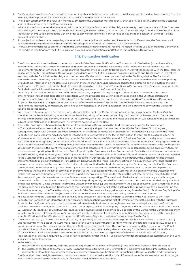- 2. The Bank shall provide the Customer with the report together with the valuation referred to in § 1 above within the deadlines resulting from the EMIR Legislation provided for reconciliation of portfolios of Transactions in Derivatives.
- 3. The Report together with the valuation may be submitted to the Customer more frequently than as provided in § 14.2 above if the Customer and the Bank so agree or if the Bank decides so.
- 4. Whenever the Customer receives the report with the valuation, the Customer shall be obligated to verify the contents thereof. If the Customer discovers any inconsistency, the Customer should promptly, however no later than within two (2) Business Days from the date of receipt of the report with the valuation, contact the Bank in order to clarify inconsistencies, if any, or raise objections to the content of the report acting pursuant to § 13.1.2 above.
- 5. If no objection has been raised regarding the report with the valuation within the deadline referred to in § 14.4 above, the Customer shall be deemed to have familiarized himself, verified and accepted the content of the report with the valuation.
- 6. The Customer undertakes to promptly inform the Bank whenever he/she does not receive the report with the valuation from the Bank within the deadlines resulting from the EMIR Legislation provided for reconciliation of portfolios of Transactions in Derivatives.

### **§ 15. Transaction Notification**

- 1. The Customer authorises the Bank to perform, on behalf of the Customer, Notifications of Transactions in Derivatives (in particular of any amendments thereto and the fact of termination thereof) entered into with the Bank to the Trade Repository in accordance with the requirements resulting from the EMIR Legislation; the requirements apply both to Transactions in Derivatives executed with the Bank after the obligation to notify Transactions in Derivatives in accordance with the EMIR Legislation has come into force and Transactions in Derivatives executed with the Bank before the obligation has become effective within the scope specified in the EMIR Legislation. The Bank shall choose the Trade Repository to which Transactions in Derivatives are to be reported. The Bank may choose more than one Trade Repository. By publishing information on the Bank's web site or in the form of an announcement published to the electronic banking system, the Bank shall inform the Customers about the Trade Repository(ies) to which it shall report Transactions in Derivatives. If the Customer so requests, the Bank shall provide information referred to in the foregoing sentence to the Customer in writing.
- 2. Reporting of Transactions in Derivatives to the Trade Repository (in particular any changes to Transactions in Derivatives and the fact of termination thereof) shall take place in accordance with the principles and within deadlines specified in the EMIR Legislation and the agreement between the Bank and the given Trade Repository. The scope and the principles of reporting Transactions in Derivatives (in particular any and all changes thereto and the fact of termination thereof) by the Bank to the Trade Repositories depends on the requirements imposed by in mandatory provisions of law, in particular the EMIR Legislation, and the agreement between the Bank and specific Trade Repository.
- 3. With regard to Transactions in Derivatives entered into with the Bank, the Customer authorises the Bank to access the Customer's data contained in the Trade Repository, obtain from the Trade Repository information concerning the Customer or Transactions in Derivatives entered into therewith and perform, on behalf of the Customer, any other activities and make declarations of will concerning the data that are subject to the Notification of Transactions in Derivatives executed with the Bank.
- 4. Should the Customer wish to make Notifications of Transactions in Derivatives to the Trade Repository (in particular any changes to Transactions in Derivatives and the fact of termination thereof) acting on his own, he shall notify the Bank thereof in writing and, subsequently, agree with the Bank on a detailed manner in which the contents of Notifications of Transactions in Derivatives to the Trade Repository (in particular any and all changes to Transactions in Derivatives and the fact of termination thereof) are to be agreed upon. The aforementioned Notification shall be binding upon the Bank after the lapse of the second (2<sup>nd</sup>) Business Day from the day when the abovedescribed manner of agreeing on the content of Notifications of Transactions in Derivatives to the Trade Repository was finally agreed with the Bank and the Bank confirmed it in writing. Notwithstanding the method in which the contents of the Notifications to the Trade Repository are agreed with the Bank, in the event where a Customer Notifies Transactions in Derivatives to the Trade Repository acting on his own, then, for the purposes of reporting Notifications to the Trade Repository, the Customer shall use Transactions in Derivatives identification codes referred to in the EMIR Legislation, as assigned thereto by the Bank and contained in the Confirmations of specific Transactions in Derivatives provided to the Customer by the Bank with regard to such Transactions in Derivatives. For the avoidance of doubt, if the Customer notifies the Bank of his intention to make Notifications of Transactions in Derivatives to the Trade Repository acting on his own, the Customer shall report any changes or terminations of Transactions in Derivatives already notified to the Trade Repository by the Bank acting on behalf of the Customer. The Bank shall not be liable for any loss suffered by the Customer in connection with reporting Transactions in Derivatives (in particular any changes thereto and the fact of termination thereof) to the Trade Depository by the Customer acting on his own. If the Customer who makes Notifications of Transactions in Derivatives (in particular any and all changes thereto and the fact of termination thereof) to the Trade Repository acting on his own wishes that the Bank assumes the reporting of Transactions in Derivatives (in particular any and all changes thereto and the fact of termination thereof) to the Trade Repository acting on behalf of the Customer, then the Customer shall notify the Bank of that fact in writing. Unless the Bank informs the Customer within five (5) Business Days from the date of delivery of such a Notification that the Bank does not agree to report Transactions to the Trade Repository on behalf of the Customer, then provisions of this § 15 concerning the Transaction reporting to the Trade Repository on behalf of the Customer shall apply directly starting from the first (1st) Business Day falling after ineffective lapse of the aforesaid five(5)-day deadline or on a different Business Day specified by the Bank to the Customer.
- 5. All data concerning the Customer that the Bank has in its possession required for the Bank to duly make the Notification to the Trade Repository of Transactions in Derivatives (in particular any changes thereto and the fact of termination thereof) executed with the Customer (in particular the Customer's telephone number and address details, business name, registered seat and the legal status of the Customer, particulars required to assign the Customer to the FC Counterparty or NFC Counterparty categories and information related to the Customer's LEI (*Legal Entity Identifier*) or BIC (*Business Identifier Code*) numbers shall be deemed as up-to-date by the Bank and the Bank shall use them to make Notifications of Transactions in Derivatives to Trade Repositories unless the Customer notifies the Bank of change of the data; the latter Notification shall be effective as of the second  $(2^{nd})$  Business Day after the date of delivery thereof to the Bank.
- 6. The Bank may (acting at its own discretion, in writing or by e-mail) request the Customer to promptly (however no later than within one (1) Business Day from the date of the Customer's receipt of the Bank's inquiry thereof) confirm whether the data referred to in § 15.5 above are up-to-date and promptly (however no later than one (1) Business Day from the day the Customer has received the inquiry from the Bank) provide additional information, make representations or perform any other activity that is necessary for the Bank to make the Notification of Transactions in Derivatives to the Trade Repository on behalf of the Customer regardless of whether such additional information, representation or activity is required by virtue of law, in particular under the EMIR Legislation, or under agreement executed between the Bank and specific Trade Repository.
- 7. In the event that:

1/ the Customer fails to promptly confirm, upon the request from the Bank referred to in § 15.6 above, that his data are up-to-date; or

about the Customer and the Transactions in Derivatives concluded with the Customer.

2/ the Customer has failed to promptly provide, upon the request from the Bank referred to in § 15.6 above, additional information, submit representation(s) or take any other steps that are necessary to make Notifications of Transactions in Derivatives to the Trade Repository; The Bank shall have the right to refuse to conclude a transaction or to make Notifications of Transactions in Derivatives to its best knowledge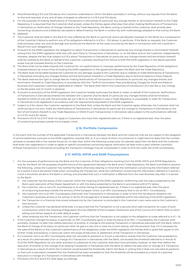- 8. Notwithstanding § 15.5 and 15.6 above, the Customer undertakes to inform the Bank promptly in writing, without any request from the Bank to that end required, of any and all data change(s) as referred to in § 15.5 and 15.6 above.
- 9. For the purposes of making Notifications of Transactions in Derivatives (in particular any change thereto or termination thereof) to the Trade Repository, it is assumed that the Customer shall accept, unless the Parties agree otherwise, that when making Notifications of Transactions in Derivatives (or Notification of change thereto) to the Trade Repository, the Bank, acting on behalf of the Customer, shall provide data concerning valuations and Collaterals calculated or determined by the Bank in conformity with methodology adopted to that end by the Bank.
- 10. *(deleted)*
- 11. The Customer shall be liable to the Bank for loss suffered by the Bank (in particular due to penalty(ies) imposed on the Bank) as a consequence of the Customer's failure to perform any of his obligations referred to in § 15.4 – 15.9 above. In particular, if the Bank so requests, the Customer shall promptly cover any and all damage and reimburse the Bank for all the costs incurred by the Bank in connection with the Customer's failure from such obligation(s).
- 12. Pursuant to the EMIR Legislation the obligation to report Transactions in Derivatives (in particular any change thereto or termination thereof) arising from the EMIR Legislation shall rest with each Party to Transactions in Derivatives, i.e. on the Bank and on the Customer independently. However, despite the fact that subject to § 15.4 above Transactions in Derivatives (in particular any change thereto and termination thereof) shall be notified by the Bank on behalf of the Customer, a penalty resulting from failure to fulfil the EMIR Legislation in the above-specified scope may be imposed directly on the Customer.
- 13. The Bank shall not be liable towards the Customer for non-performance or improper performance by the Trade Repository of the obligations imposed thereon by virtue of law (including the EMIR Legislation) or the agreement between the Bank and the Trade Repository.
- 14. The Bank shall not be liable towards the Customer for any damage caused to the Customer due to inability to make Notifications of Transactions in Derivatives (including any changes thereto and the termination thereof) to a Trade Repository due to technical reasons or force majeure.
- 15. The Bank reserves the right to charge fees for making Notifications of Transactions in Derivatives (in particular any changes thereto and termination thereof) to Trade Repository in accordance with the "Tariff of Commission Fees and Banking Charges for Small and Medium Business and Corporate Customers applicable at mBank." The Bank shall inform the Customers of introduction of a new fee or any change to the fee levels one (1) month in advance.
- 16. Pursuant to provisions of the EMIR Legislation, the Customer hereby authorises the Bank to make, on behalf of the Customer, Notifications of Transactions in Derivatives entered into between the Customer and the Bank (in particular any changes thereto and/ terminations thereof) to ESMA (in line with the principles set out in §§ 15.1 to 15.15 above) in case a Trade Repository is unavailable, in order for Transactions in Derivatives to be registered in accordance with the requirements stipulated in the EMIR Legislation.
- 17. Subject to § 15.4 above, the Customer represents to the Bank that, unless the Bank and the Customer agree otherwise, the Customer shall not, while acting on his own, make any Notifications of Transactions in Derivatives (in particular any change to Transactions in Derivatives or the fact of termination thereof) to any Trade Repository or ESMA if such Transaction(s) in Derivatives is/are subject to the authorisations referred to in § 15.1 and § 16.1 above.
- 18. Provisions of § 15.1 to § 15.17 shall not apply to Customers who have their registered seats (or, if there is no registered seat, then the place of conducting business) outside the European Union.

# **§ 16. Portfolio Compression**

In the event that the number of the applicable Transactions in Derivatives between the Bank and the Customer that are not subject to the obligation of central settlement pursuant to the EMIR Legislation, exceeds 500, or, if, as a result of other circumstances it might become likely that the number achieves or exceeds 500 in the nearest future (i.e. no later than within the following consecutive 45 calendar days) then the Bank and the Customer shall enter into negotiations in order to agree on specific procedures concerning regular verification (at least twice a year) whether a portfolio of those Transactions in Derivatives (including the Transaction Package) may be compressed in order to limit the credit risk of the counterparty.

#### **§ 17. MIFID, MIFIR and EMIR Presumptions**

- 1. For the purposes of performance by the Bank and the Customer of their obligations resulting from the EMIR, MIFID and MIFIR Regulations and, for the Bank, for the purposes of performance of the agreement between the Bank and a Trade Repository, the Bank is entitled to assume the following, unless the Customer has notified the Bank otherwise, bearing in mind that the notification concerning the information referred to in points 3 and 5 should be made when concluding the Transaction, while the notification concerning the information referred to in points 1, 2 and 4 should be served to the Bank in writing, and provided that such a notification is effective from the next Business Day after it is served to the Bank:
	- 1/ the Customer has the status of the customer within the meaning of the EMIR Legislation conforming with the status presented to the Bank upon execution of the Master Agreement or with the status presented to the Bank in accordance with § 17.2 below:
	- 2/ the Customer, who is not a FC Counterparty or an entity having its registered seat (or, if there is no registered seat, then the place of conducting business) outside the territory of the European Union, is an NFC Counterparty that is not an NFC+ Counterparty;
	- 3/ the Customer who is an NFC Counterparty shall enter into Transactions in Derivatives in order to limit the risk directly related to the Customer's business activity or his activity in terms of management of assets and liabilities within the meaning of the EMIR Legislation;
	- 4/ the Transaction in a financial instrument entered into by the Customer is concluded in the Customer's own name and to the Customer's own account;
	- 5/ unless the Customer has declared otherwise, it is assumed that the Transaction is not a security short sale transaction (or a part of such a transaction) within the meaning of Regulation (EU) No 236/2012 of the European Parliament and of the Council of 14 March 2012 on short selling and certain aspects of credit default swaps;
	- 6/ when entering into the Transaction, the Customer confirms that the Transaction is not subject to the obligation to trade referred to in § 1.– 16.
- 2. If the Customer changes his status, in particular, an NFC Counterparty gains or loses his status of an NFC + Counterparty, the Customer shall promptly, however no later than before execution of another or change to the existing Transaction in Derivatives executed with the Bank, inform the Bank of change of his status (in particular when he gains a new one or loses his current status); with the provision that, if it is necessary for the sake of the Bank's or the Customer's performance of the obligations under the EMIR Legislation the Parties shall in good faith agree on the further mode of procedure, in particular within the scope of execution or settlement of the Transaction in Derivatives.
- 3. If a Customer who is an NFC Counterparty does not calculate its positions or if such a calculation reveals that the Customer has exceeded (or, as a result of a planned execution or change of a Transaction in Derivatives with the Bank, will exceed) the threshold referred to in Article 10 (1) of the EMIR Regulation (or any other provision to substitute it), the Customer shall each time promptly, however no later than before the execution of another or the change of an existing Transaction in Derivatives with the Bank (or before the execution or change of a Transaction in Derivatives as a result of which the Customer would exceed the threshold), inform the Bank in writing that it does not calculate its positions or that such a calculation revealed that the threshold has been exceeded (or that the threshold will be exceeded as a result of a planned execution or change of a Transaction in Derivatives with the Bank).
- 4. Provisions of § 15.10 and § 15.11 shall apply accordingly.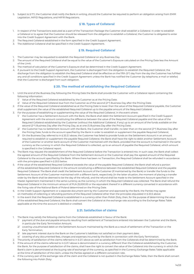5. Subject to § 17.1, the Customer shall notify the Bank in writing, should the Customer be required to perform an obligation arising from EMIR Legislation, MiFID Regulations, and MiFIR Regulations.

# **§ 18. Types of Collateral**

- 1. In respect of the Transactions executed as a part of the Transaction Package the Customer shall establish a Collateral. In order to establish a Collateral or to agree that the Customer should be released from the obligation to establish a Collateral, the Customer is obligated to enter into the Credit Support Agreement with the Bank.
- 2. The Required Collateral established in the form specified in the Credit Support Agreement.
- The Additional Collateral shall be specified in the Credit Support Agreement.

# **§ 19. Required Collateral**

- 1. The Customer may be requested to establish the Required Collateral on any Business Day.
- 2. The amount of the Required Collateral shall be equal to the value of the Customer's Exposure calculated on the Pricing Date less the Amount of the Limit.
- 3. The method of calculation of the Customer's Exposure shall be determined in the Credit Support Agreement.
- 4. If, pursuant to the Credit Support Agreement, the Customer is discharged from the obligation to establish the Required Collateral, the discharge from the obligation to establish the Required Collateral shall be effective on the fifth (5<sup>th</sup>) day from the day the Customer has fulfilled any and all conditions specified in the Credit Support Agreement unless the Bank has notified the Customer (by telephone, e-mail or telefax) that the Customer is discharged from such obligation.

# **§ 20. The method of establishing the Required Collateral**

- 1. Until the end of the Business Day following the Pricing Date the Bank shall provide the Customer with a Collateral report containing the following information:
	- 1/ Value of the Required Collateral established by the Customer as at the Pricing Date;
	- 2/ Value of the Required Collateral due from the Customer as of the second (2<sup>nd</sup>) Business Day after the Pricing Date.
- 2. If the value of the Required Collateral established as at the Pricing Date is lower than the value of the Required Collateral payable, the Customer shall supplement the value of the established Required Collateral up to the payable amount of the Required Collateral.
- 3. For the purpose of establishing or supplementing the value of the Required Collateral, in the event where:
	- 1/ the Customer has a Settlement Account with the Bank, the Bank shall debit the Settlement Account specified in the Credit Support Agreement with the amount constituting the difference between the value of the Required Collateral payable and the value of the Required Collateral established by the Customer (without the Additional Collateral, if any) up to an amount of the funds available on the second (2<sup>nd</sup>) Business Day after the Pricing Day, as at one (1) Business Day after the Pricing Date;
	- $2/$  the Customer has no Settlement Account with the Bank, the Customer shall transfer, no later than on the second  $(2^{nd})$  Business Day after the Pricing Date, funds to the account specified by the Bank in order to establish or supplement the payable Required Collateral;
	- 3/ On the Business Day referred to in § 20.3.1 above, the Customer has failed to provide funds on the Settlement Account in an amount required to establish or supplement the payable Required Collateral, the Bank shall have the right to debit another Settlement Account of the Customer or another bank account of the Customer maintained with the Bank, provided that the account is maintained in the same currency as the currency in which the Required Collateral is collected, up to an amount of payable the Required Collateral, which amount is specified in the Collateral report.
- 4. The Bank may request the establishment of the Required Collateral before the Transaction is entered into. In such case, the Bank shall collect the agreed amount of the Required Collateral from the Settlement Account or the Customer shall pay the agreed amount of the Required Collateral to the account specified by the Bank. Where there has been no Transaction, the Required Collateral shall be refunded in accordance with the principles specified in § 20.5 below.
- 5. If the value of the established Required Collateral exceeds the value of the payable Required Collateral, the Bank shall refund a portion of the established Required Collateral in the amount constituting a difference between the established Required Collateral and the payable Required Collateral. The Bank shall credit the Settlement Account of the Customer (if maintained by the Bank) or transfer the funds to the Settlement Account of the Customer maintained with a different bank, respectively (in the latter situation, the moment of placing a transfer order by the Bank shall be deemed to be the day of the refund), and the refund shall be made to the Settlement Account specified in the Master Agreement maintained in the same currency as the currency in which the Required Collateral was collected. The Bank shall refund the Required Collateral in the minimum amount of PLN 25,000.00 or the equivalent thereof in a different currency converted in accordance with the fixing rate of the National Bank of Poland determined on the Pricing Date.
- 6. In the Credit Support Agreement or a separate document sent by the Customer and approved by the Bank, the Parties may agree on method(s) of collecting or refunding portions of the Required Collateral other than the principles stipulated in § 20.5 above.
- 7. In the event that the Required Collateral is established in a currency other than Polish Zloty, then, for the purpose of determining the value of the established Required Collateral, the Bank shall convert the Collateral at the exchange rate according to the Exchange Rates Table applicable at the time the account is debited or credited.

# **§ 21. Satisfaction of claims**

- 1. The Bank may satisfy the following claims from the Collaterals established in favour of the Bank:
	- 1/ payment of the due and payable amounts resulting from settlement of Transactions entered into between the Customer and the Bank, in particular the Early Termination Amount;
	- 2/ covering unauthorised debit on the Settlement Account maintained by the Bank as a result of settlement of the Transaction or the Early Termination;
	- 3/ late payment interest due to the Bank on the Customer's liabilities not satisfied on their payment date;
	- 4/ covering of any documented fees, charges and expenses incurred by the Bank in connection with the Early Termination.
- 2. The priority of satisfaction of the claims referred to in § 21.1 above as well as satisfaction from the Collaterals shall be determined by the Bank.
- 3. If the amount of the claims referred to in § 21.1 above is denominated in a currency different than the Collateral established by the Customer, the Bank, for the purpose of satisfaction of the claims, shall have the right to convert the value of the Collateral into the currency in which the Bank's claim is denominated at the buying rate of exchange of the currency, as specified in the Currency Exchange Rates Table applicable at the time of satisfaction of the claim, unless the Parties agreed on a different conversion rate.
- 4. If the currency pair of the exchange rate of the claim and the Collateral is not quoted in the Exchange Rates Table, then the Bank shall convert the following into Polish Zloty: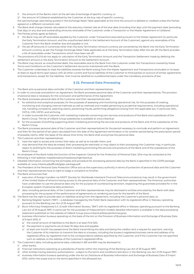- 1/ the amount of the Bank's claim at the sell rate of exchange of specific currency; or
- 2/ the amount of Collateral established by the Customer at the buy rate of specific currency.
- the said exchange rates being quoted in the Exchange Rates Table applicable at the time the account is debited or credited unless the Parties agreed on a different conversion rate.
- 5. The Bank shall charge interest calculated at the statutory interest rate as of the due date (including that day) until the payment date (excluding that day) on any due and outstanding amounts receivable of the Customer under a Transaction or the Master Agreement or Collateral.
- 6. The Parties jointly agree as follows:
	- 1/ the Bank may set off receivables payable by the Customer under Transactions executed pursuant to the Master Agreement (in particular the Early Termination Amount, and the unauthorised debit in the Settlement Account of the Customer), against any receivables of the Customer from the Bank whether due and payable or not,
	- 2/ the set off amounts in currencies other than the Early Termination Amount currency are converted by the Bank into the Early Termination Amount currency as per the Foreign Exchange Rates Table applicable as at the Early Termination Date; After the set-off, the Bank provides a list of receivables under Transactions which have been set off.
- 7. The provisions of § 21.6 do not apply to: calculation of the Early Termination Amount and the Transaction Settlement made by debiting the settlement amount or the Early Termination Amount to the Settlement Account.
- 8. The Bank may record, as unauthorized debit, the receivables due to the Bank from the Customer under the Transactions covered by these Terms and Conditions on the Customer's Settlement Accounts maintained with the Bank.
- 9. The Customer undertakes to treat the liabilities towards the Bank arising from the Master Agreement and Transactions concluded on its basis at least on equal terms (pari passu) with all other current and future liabilities of the Customer to third parties on account of similar agreements and transactions, except for the liabilities that must be satisfied on a preferential basis under the mandatory provisions of law.

### **§ 22. Personal Data Processing**

- The Bank acts as personal data controller of the Customer and their representatives.
- 2. In order to conclude and perform an Agreement, the Bank processes personal data of the Customer and their representatives. The provision of personal data is necessary for the conclusion and performance of the Agreement.
- 3. The Bank processes personal data of the Customer and their representatives also:
	- 1/ for statistical and analytical purposes, for the purposes of assessing and monitoring operational risk, for the purposes of creating, monitoring and changing internal methods as well as methods and models pertaining to prudential requirements, including operational risk, handling complaints, asserting claims, preventing frauds, performing obligations arising from the applicable law, in particular AML, FATCA, CRS, MiFID, and archiving,
	- 2/ in order to provide the Customer with marketing materials concerning own services and products of the Bank and subsidiaries of the Bank's Group. The list of mBank Group subsidiaries is available at www.mbank.pl.
	- 3/ for the purposes of profiling supporting direct marketing promoting the services and products of the Bank and of the subsidiaries of the Bank's Group.
- 4. The Bank processes personal data of the Customer and their representatives for the period necessary to conclude and perform an Agreement, and then for the period of ten years calculated from the date of the Agreement termination or for another period being the prescription period of possible claims. After the lapse of the above time limits, the Bank shall anonymise the personal data.
- 5. The Customer and their representatives:
	- 1/ have the right to access and correct their data, as well as to transfer them; and
	- 2/ may demand that the data be erased, their processing be restricted, or may object to their processing; the Customer may, in particular, object to profiling for the purposes of direct marketing promoting the services and products of the Bank and of the subsidiaries of the Bank's Group.
- 6. An employee of the Bank holds the function of the Inspector General for the Protection of Personal Data. S/he may be contacted at the following e-mail address: Inspektordanychosobowych@mbank.pl.
- 7. Detailed information concerning the principles and procedure for processing personal data by the Bank is specified in the GDPR package available at: www.mbank.pl/pdf/rodo/gdpr-package.pdf.
- 8. The President of the Personal Data Protection Office acts as the supervisory authority in terms of protection of personal data and the Customer and their representatives have to right to lodge a complaint to him/her.
- 9. The Bank announces that:
	- 1/ execution of foreign transfers via SWIFT (Society for Worldwide Interbank Financial Telecommunications) may result in the government of the United States of America having access to the personal data of the Customer and their representatives. The American authorities have undertaken to use the personal data only for the purpose of counteracting terrorism, respecting the guarantees provided for in the European system of personal data protection,
	- 2/ data, including personal data, of the Customer and their representatives may be disclosed to entities entrusted by the Bank with data processing for the purpose of the performance of agreements on rendering services for the benefit of the Bank.
- 10. The Bank has the right to provide data on liabilities arising from the Agreement, including the Customer's personal data, to:
	- 1/ Banking Register System ("BR") a database managed by the Polish Bank Association with its registered office in Warsaw, operating pursuant to the Banking Law Act of 29 August 1997,
	- 2/ Biuro Informacji Kredytowej S.A. (Credit Information Bureau, "BIK") with its registered office in Warsaw, operating pursuant to the Banking Law Act of 29 August 1997, in particular for the purposes of measurement models; detailed information is available in the data processing statement published on the website of mBank Group (www.mbank.pl/klazulainformacyjna),
	- 3/ business information bureaus operating on the basis of the Act on the Provision of Business Information and Exchange of Business Data of 9 April 2010, if:
		- a/ the overall amount of liabilities to the Bank is at least PLN 500,
		- b/ the payment or payments are at least 30 days due and payable,
		- c/ at least one month has passed since the Bank transmitting the data and being the creditor sent a request for payment, warning the Customer of its intention to transmit the data to a bureau, including the bureau's registered business name and address of its registered office, by registered mail to the correspondence address specified by the Customer, and if the Customer has not specified such an address, to the address of the Customer's registered office.
- 11. The Customer's data, including personal data, collected in BR and BIK may be disclosed to:
	- 1/ other banks,
	- 2/ financial institutions operating as subsidiaries of banks within the meaning of the Banking Law Act of 29 August 1997,
	- 3/ other entities having statutory authorisations subject to the terms and conditions laid down in the Banking Law Act of 29 August 1997,
	- 4/ business information bureaus operating under the Act on Disclosure of Business Information and Exchange of Business Data of 9 April 2010, within the scope and on the terms specified in the aforesaid Act.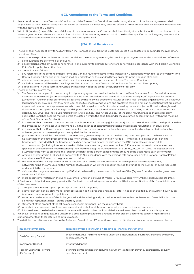#### **§ 23. Amendment to the Terms and Conditions**

- 1. Any amendments to these Terms and Conditions and the Transaction Descriptions made during the term of the Master Agreement shall be provided to the Customer along with indication of the dates on which they become effective. Amendments shall be delivered in accordance with the provisions of § 12 above.
- Within 14 (fourteen) days of the date of delivery of the amendments, the Customer shall have the right to submit a notice of termination of the Master Agreement. An absence of notice of termination of the Master Agreement within the deadline specified in the foregoing sentence shall be deemed as acceptance of the amendments delivered by the Bank.

# **§ 24. Final Provisions**

- 1. The Bank shall not accept or withhold any tax on the Transaction due from the Customer unless it is obligated to do so under the mandatory provisions of law.
- 2. Unless otherwise provided in these Terms and Conditions, the Master Agreement, the Credit Support Agreement or the Transaction Confirmation: 1/ all calculations are performed by the Bank
	- 2/ all conversions of the amounts denominated in one currency to another currency are performed in accordance with the Foreign Exchange Rates Table applicable at that time.
- 3. For the avoidance of doubt:
	- 1/ any reference, in the content of these Terms and Conditions, to time (save for the Transaction Descriptions which refer to the Warsaw Time, Central European Time and other times) shall be understood as the standard time applicable in the Republic of Poland;
	- 2/ reference to a paragraph or section shall mean the relevant paragraph or section of these Terms and Conditions;
	- 3/ capitalised terms shall have the meanings ascribed to them in these Terms and Conditions or Transaction Descriptions;
	- 4/ all subdivisions in these Terms and Conditions have been adopted are for the purpose of order only.
- 4 The Bank hereby informs that:
	- 1/ The Bank is a participant in the statutory fund quaranty system as provided in the Act on the Bank Guarantee Fund, Deposit Guarantee Scheme and Resolution (as amended) dated 10 June 2016. Protection under the Bank Guarantee Fund ("**BGF**") is provided for deposits (whether in PLN or in other currencies) established by the following depositors: natural persons, legal persons, organisational units without legal personality, provided that they have legal capacity, school savings unions and employee savings-and-loan associations that are parties to personal bank account agreements or who have claims against the Bank under a banking transaction (as confirmed with registered documents issued by the Bank or registered deposit certificates as referred to in Article 9 Sec. 1 of Trading in Financial Instruments Act dated 29 July 2005) and individuals referred to in Article 55 Sec. 1 and Article 56 Sec. 1 of the Banking Act, provided that his/her claim against the Bank has become mature before the date on which the condition under the guarantee became fulfilled (within the meaning of the Bank Guarantee Fund Act);
	- 2/ in the event that the Bank maintains one account for more than one entity (joint account), each of the entities shall be the depositor within the limits set out in the account agreement, or, in the absence of contractual provisions or applicable regulations – in equal parts;
	- 3/ in the event that the Bank maintains an account for a partnership, general partnership, professional partnership, limited partnership or limited joint-stock partnership, such entity shall be the depositor;
	- 4/ guaranteed funds shall be covered with the mandatory guarantee system as of the date they have been paid into the bank account no later than on the date preceding the date when the BGF guarantee condition fulfils, or – with regard to claims under banking transactions – provided that the transaction has been performed before the date when the BGF guarantee condition fulfils – up to an amount (including interest accrued until the date when the guarantee condition fulfils in accordance with the interest rate specified in the agreement notwithstanding their maturity date) the PLN equivalent of EUR 100,000.00 – in 100 %. The depositor shall always have the right to assert claim(s) against the bank in the portion exceeding the amount of the guaranteed cash performance;
	- 5/ A value denominated in EUR shall be converted to PLN in accordance with the average rate announced by the National Bank of Poland as at the date of fulfilment of the guarantee condition;
	- 6/ the amount of the PLN equivalent of EUR 100,000.00 shall be the maximum amount of the depositor's claims against BGF, notwithstanding the amount and the number of accounts on which the depositor has had the funds or the number of sums receivable under which the claims arise;
	- 7/ claims under the guarantee extended by BGF shall be barred by the statutes of limitation of five (5) years from the date the guarantee condition is fulfilled;
- 8/ more specific information on the Bank Guarantee Fund can be found at mBank Group's website (www.mbank.pl/download/bfg-info/).
- 5. A Customer is obligated to regularly provide the Bank with the following documents by mail that allow verification of the financial situation of the Customer:
	- 1/ a copy of the F-01 GUS report promptly, as soon as it is prepared;
	- 2/ copy of annual financial statement promptly as soon as it is prepared and again after it has been audited by the auditor, if such audit is required under applicable requlations;
	- 3/ statement on the amount of the limits granted and the existing and planned indebtedness with other banks and financial institutions along with repayment dates – on the quarterly basis;
	- 4/ statement of the amount of the off-balance sheet commitments on the quarterly basis;
	- 5/ projected balance sheet, profit and loss account and cash flow statement promptly, as soon as they are prepared;
	- 6/ information on the derivative transactions entered into with other banks and their valuation at least once in a calendar quarter.
- Whenever the Bank so requests, the Customer is obligated to provide explanations and/or present documents concerning his financial standing other than those referred to in § 24.5 above.
- The definitions and terms specified in the Rules and Descriptions of Transactions correspond to the statutory terms as presented below.

| mBank's terminology                      | Terminology used in the Act on Trading in Financial Instruments                                                      |
|------------------------------------------|----------------------------------------------------------------------------------------------------------------------|
| Dual-Currency Deposit                    | another derivative instrument whose underlying instrument is a currency, exercised by delivery<br>or cash settlement |
| <b>Investment Deposit</b>                | structured deposit                                                                                                   |
| Foreign Exchange Forward<br>(FX Forward) | a forward contract whose underlying instrument is a foreign currency, exercised by delivery<br>or cash settlement    |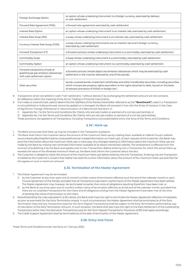| Foreign Exchange Option                                                                              | an option whose underlying instrument is a foreign currency, exercised by delivery<br>or cash settlement                                                                                                                                                       |
|------------------------------------------------------------------------------------------------------|----------------------------------------------------------------------------------------------------------------------------------------------------------------------------------------------------------------------------------------------------------------|
| Forward Rate Agreement (FRA)                                                                         | a forward rate agreement exercised by cash settlement                                                                                                                                                                                                          |
| Interest Rate Option                                                                                 | an option whose underlying instrument is an interest rate, exercised by cash settlement                                                                                                                                                                        |
| Interest Rate Swap (IRS)                                                                             | a swap whose underlying instrument is an interest rate, exercised by cash settlement                                                                                                                                                                           |
| Currency Interest Rate Swap (CIRS)                                                                   | a swap whose underlying instruments are an interest rate and a foreign currency,<br>exercised by cash settlement                                                                                                                                               |
| Forward Transaction (FT)                                                                             | a forward contract whose underlying instrument is a commodity, exercised by cash settlement                                                                                                                                                                    |
| Commodity Swap                                                                                       | a swap whose underlying instrument is a commodity, exercised by cash settlement                                                                                                                                                                                |
| Commodity Option                                                                                     | an option whose underlying instrument is a commodity, exercised by cash settlement                                                                                                                                                                             |
| Forward transactions of sale of<br>greenhouse gas emission allowances<br>with cash settlement option | a forward contract whose object are emission allowances which may be exercised by cash<br>settlement in the manner selected by one of the parties                                                                                                              |
| Debt securities                                                                                      | bonds, covered bonds, investment certificates and other transferable securities, including securities<br>which incorporate property rights equivalent to the rights attached to debt, issued on the basis<br>of relevant provisions of Polish or foreign law". |

8. Transactions which are settled in cash ("net" settlement, "without delivery") by exchanging the settlement amount are not contracts for difference within the meaning of the Act on Trading in Financial Instruments.

9. If an index or a benchmark used to determine the liabilities of the Parties (hereinafter referred to as the **"Benchmark"**) used in a Transaction: is not published or is discontinued, cannot be applied or is changed, the Bank will proceed in line with the Rules of Conduct in the Case of Significant Change, Withdrawal or Discontinuation of a Benchmark laid down in:

1/ Appendix No. 1 to the Terms and Conditions (for Clients who are sole traders or partners of a civil law partnership), or

2/ Appendix No. 2 to the Terms and Conditions (for Clients who are not sole traders or partners of a civil law partnership).

These provisions are applied to all Transactions, including Transactions concluded before entry into force of the Terms and Conditions.

# **§ 241 . Mark-up**

1. The Bank announces that Mark-up may be included in the Transaction quotation.

2. The Bank shall inform the Customer about the amount of the maximum Mark-ups by making them available at mBank Group's website (www.mbank.pl/en/help/forms/sme-corporate/financial-market/information-on-mark-up/). At each request of the Customer, the Bank may send the information about the maximum Mark-ups in hard copy. Any changes relating to information about the maximum Mark-ups are made by the Bank by making new amended information available at its above-mentioned website. The amendment is effective from the moment of publishing it by the Bank and applies only to new Transactions. Before entering into a Transaction for which the actual Mark-up exceeds the value of the aforesaid maximum Mark-up, the Bank shall inform the Customer about this fact.

3. The Customer is obliged to check the amount of the maximum Mark-ups before entering into the Transaction. Entering into the Transaction is treated as the Customer's consent that he/she has read the current information about the amount of the maximum Mark-ups and that he/ she agrees on such a maximum amount.

#### **§ 25. Termination of the Master Agreement**

- 1. The Master Agreement may be terminated:
	- 1/ by the Customer at any time upon one (1)-month's written notice of termination effective as at the end of the calendar month or upon mutual agreement of the Parties, provided that all Transactions executed in performance of the Master Agreement have been settled. The Master Agreement may, however, be terminated no earlier than once all obligations resulting therefrom have been met, or
	- 2/ by the Bank at any time upon one (1) month's written notice of termination effective as at the end of the calendar month, provided that there are no unsettled Transactions for the Client and all obligations arising from the Master Agreement have been met at the time of sending the notice of termination to the Client.
- 2. Notwithstanding the rules stipulated in § 25.1 above, the Bank shall have the right to terminate the Master Agreement effective immediately as soon as premise(s) for the Early Termination arise(s). In such circumstances, the Master Agreement shall be terminated as of the Early Termination Date and any Transactions (save for the Term Deposit Transactions) shall be subject to the Early Termination performed by way of calculation of the Early Termination Amount. In such situation, the Bank shall also have the right to the Early Settlement of the outstanding Transactions (other than the Derivative Transactions) save for the Term Deposit Transactions. Provisions of §10 shall apply accordingly.
- The Credit Support Agreement shall be terminated as of the date of termination of the Master Agreement.

#### **§ 26. Entry into Force**

These Terms and Conditions enter into force on 1 January 2022.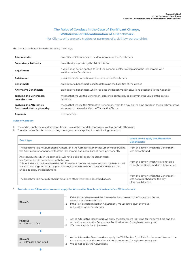# **The Rules of Conduct in the Case of Significant Change, Withdrawal or Discontinuation of a Benchmark**

(for Clients who are sole traders or partners of a civil law partnership).

The terms used herein have the following meanings:

| <b>Administrator</b>                                   | an entity which supervises the development of the Benchmark                                                                                          |
|--------------------------------------------------------|------------------------------------------------------------------------------------------------------------------------------------------------------|
| <b>Supervisory Authority</b>                           | an authority supervising the Administrator                                                                                                           |
| Adjustment                                             | a value or an action applied to limit the economic effects of replacing the Benchmark with<br>an Alternative Benchmark                               |
| <b>Publication</b>                                     | publication of information on the value of the Benchmark                                                                                             |
| <b>Benchmark</b>                                       | an index or a benchmark used to determine the liabilities of the parties                                                                             |
| <b>Alternative Benchmark</b>                           | an index or a benchmark which replaces the Benchmark in situations described in the Appendix                                                         |
| applying the Benchmark<br>on a given day               | means that we use the Benchmark published on this day to determine the value of the parties'<br><b>liabilities</b>                                   |
| applying the Alternative<br>Benchmark from a given day | means that we use the Alternative Benchmark from this day, on the days on which the Benchmark was<br>supposed to be used under the Transaction Terms |
| Appendix                                               | this appendix                                                                                                                                        |

#### **Rules of Conduct**

- 1. The parties apply the rules laid down herein, unless the mandatory provisions of law provide otherwise.
- 2. The Alternative Benchmark including the Adjustment is applied in the following situations:

| <b>Event type</b>                                                                                                                                                                                                                                                                                                                                         | When do we apply the Alternative<br><b>Benchmark?</b>                                          |
|-----------------------------------------------------------------------------------------------------------------------------------------------------------------------------------------------------------------------------------------------------------------------------------------------------------------------------------------------------------|------------------------------------------------------------------------------------------------|
| The Benchmark is not published anymore, and the Administrator or theauthority supervising<br>the Administrator announced that the Benchmark had been discontinued permanently.                                                                                                                                                                            | from the day on which the Benchmark<br>was discontinued                                        |
| An event due to which we cannot (or will not be able to) apply the Benchmark<br>in a Transaction in accordance with the law.<br>This includes a situation where the Administrator's licence has been revoked, the Benchmark<br>has not been registered, or the permit or registration have been revoked and we are thus<br>unable to apply the Benchmark. | from the day on which we are not able<br>to apply the Benchmark in a Transaction               |
| The Benchmark is not published in situations other than those described above.                                                                                                                                                                                                                                                                            | from the day on which the Benchmark<br>was not published until the day<br>of its republication |

#### 3. **Procedure we follow when we must apply the Alternative Benchmark instead of an FX benchmark**



- 1. If the Parties determined the Alternative Benchmark in the Transaction Terms, we use it as the Benchmark.
- 2. If the Parties determined an Adjustment, we use it to adjust the value of the Alternative Benchmark.
- 1. As the Alternative Benchmark we apply the Bloomberg FX Fixing for the same time and the same time zone as the Benchmark Publication, and for a given currency pair. 2. We do not apply the Adjustment.
- 
- 1. As the Alternative Benchmark we apply the WM Reuters Spot Rate for the same time and the same time zone as the Benchmark Publication, and for a given currency pair. 2. We do not apply the Adjustment.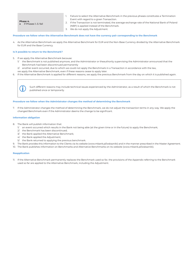**Phase 4.**

# ■ if Phases 1.-3. fail

- 1. Failure to select the Alternative Benchmark in the previous phases constitutes a Termination Event with regard to a given Transaction.
- 2. If the Transaction is not terminated, the average exchange rate of the National Bank of Poland (NBP) is applied instead of the Benchmark.
- 3. We do not apply the Adjustment.

#### **Procedure we follow when the Alternative Benchmark does not have the currency pair corresponding to the Benchmark**

4. As the Alternative Benchmark we apply the Alternative Benchmark for EUR and the Non-Base Currency divided by the Alternative Benchmark for EUR and the Base Currency.

#### **Is it possible to return to the Benchmark?**

- 5. If we apply the Alternative Benchmark because:
	- 1/ the Benchmark is not published anymore, and the Administrator or theauthority supervising the Administrator announced that the Benchmark had been discontinued permanently
	- 2/ another event occurred, due to which we could not apply the Benchmark in a Transaction in accordance with the law,
	- we apply the Alternative Benchmark, even if these reasons cease to apply later.
- 6. If the Alternative Benchmark is applied for different reasons, we apply the previous Benchmark from the day on which it is published again.

 Such different reasons may include technical issues experienced by the Administrator, as <sup>a</sup> result of which the Benchmark is not published once or temporarily.

#### **Procedure we follow when the Administrator changes the method of determining the Benchmark**

7. If the Administrator changes the method of determining the Benchmark, we do not adjust the transaction terms in any way. We apply the changed Benchmark even if the Administrator deems the change to be significant.

#### **Information obligation**

- 8. The Bank will publish information that:
	- 1/ an event occurred which results in the Bank not being able (at the given time or in the future) to apply the Benchmark;
	- 2/ the Benchmark has been discontinued;
	- 3/ the Bank applied the Alternative Benchmark;
	- 4/ the Bank applied the Adjustment;
	- 5/ the Bank returned to applying the previous benchmark.
- 9. The Bank provides this information to the Clients via its website (www.mbank.pl/wskazniki) and in the manner prescribed in the Master Agreement.
- 10. The Bank publishes information on Benchmarks and Alternative Benchmarks on its website (www.mbank.pl/wskazniki).

#### **Reapplication**

11. If the Alternative Benchmark permanently replaces the Benchmark used so far, the provisions of the Appendix referring to the Benchmark used so far are applied to the Alternative Benchmark, including the Adjustment.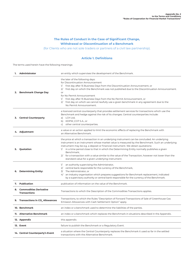# **The Rules of Conduct in the Case of Significant Change, Withdrawal or Discontinuation of a Benchmark**

(for Clients who are not sole traders or partners of a civil law partnership).

# **Article 1. Definitions**

The terms used herein have the following meanings:

| 1. | Administrator                                    | an entity which supervises the development of the Benchmark.                                                                                                                                                                                                                                                                                                                                                                                                                                                                                                   |
|----|--------------------------------------------------|----------------------------------------------------------------------------------------------------------------------------------------------------------------------------------------------------------------------------------------------------------------------------------------------------------------------------------------------------------------------------------------------------------------------------------------------------------------------------------------------------------------------------------------------------------------|
|    | 2. Benchmark Change Day                          | the later of the following days:<br>for Discontinuation Announcement<br>first day after 15 Business Days from the Discontinuation Announcement, or<br>1/<br>2/<br>first day on which the Benchmark was not published due to the Discontinuation Announcement.<br>or<br>for No Permit Announcement<br>1/ first day after 15 Business Days from the No Permit Announcement, or<br>2/ first day on which we cannot lawfully use a given benchmark in any agreement due to the<br>No Permit Announcement.                                                          |
|    | 3. Central Counterparty                          | a licenced central counterparty that provides settlement services for transactions which use the<br>Benchmark and hedge against the risk of its changes. Central counterparties include:<br>a) LCH Ltd,<br>b) KDPW_CCP S.A., or<br>other central counterparties.<br>C)                                                                                                                                                                                                                                                                                         |
|    | 4. Adjustment                                    | a value or an action applied to limit the economic effects of replacing the Benchmark with<br>an Alternative Benchmark.                                                                                                                                                                                                                                                                                                                                                                                                                                        |
|    | 5. Quotation                                     | the price at which a transaction in an underlying instrument can be concluded. An underlying<br>instrument is an instrument whose market value is measured by the Benchmark. Such an underlying<br>instrument may be e.g. a deposit or financial instrument. We obtain quotations:<br>1/ in a time period close to that in which the Determining Entity normally publishes a given<br>Benchmark;<br>2/ for a transaction with a value similar to the value of the Transaction, however not lower than the<br>standard value for a given underlying instrument. |
|    | 6. Determining Entity:                           | 1/ an authority supervising the Administrator,<br>2/ central bank responsible for the currency of the Benchmark,<br>3/ The Administrator, or<br>4/ an industry organisation which prepares suggestions for Benchmark replacement, indicated<br>by a supervisory authority or central bank responsible for the currency of the Benchmark.                                                                                                                                                                                                                       |
|    | 7. Publication                                   | publication of information on the value of the Benchmark.                                                                                                                                                                                                                                                                                                                                                                                                                                                                                                      |
|    | 8. Commodities Derivative<br><b>Transactions</b> | Transactions to which the Description of the Commodities Transactions applies.                                                                                                                                                                                                                                                                                                                                                                                                                                                                                 |
|    | 9. Transactions in CO <sub>2</sub> Allowances    | Transactions, to which the Rules "Description of Forward Transactions of Sale of Greenhouse Gas<br>Emission Allowances with Cash Settlement Option" apply.                                                                                                                                                                                                                                                                                                                                                                                                     |
|    | 10. Benchmark                                    | an index or a benchmark used to determine the liabilities of the parties.                                                                                                                                                                                                                                                                                                                                                                                                                                                                                      |
|    | 11. Alternative Benchmark                        | an index or a benchmark which replaces the Benchmark in situations described in the Appendix.                                                                                                                                                                                                                                                                                                                                                                                                                                                                  |
|    | 12. Appendix                                     | this appendix.                                                                                                                                                                                                                                                                                                                                                                                                                                                                                                                                                 |
|    | 13. Event                                        | failure to publish the Benchmark or a Regulatory Event.                                                                                                                                                                                                                                                                                                                                                                                                                                                                                                        |
|    | 14. Central Counterparty's Event                 | a situation where the Central Counterparty replaces the Benchmark it used so far in the settled<br>transactions with the Alternative Benchmark.                                                                                                                                                                                                                                                                                                                                                                                                                |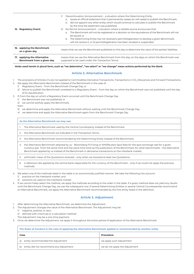| 15. Regulatory Event:<br>16. applying the Benchmark | by the time the statement was published;<br>No Permit Announcement – a situation where a reliable source announces that:<br>2/<br>a. The Benchmark will not be registered or a decision on the equivalence of the Benchmark will not<br>be issued, or<br>b. The Determining Entity has not received a permit/registration to develop a given Benchmark,<br>will not receive it, or its permit/registration has been revoked or suspended. |  |
|-----------------------------------------------------|-------------------------------------------------------------------------------------------------------------------------------------------------------------------------------------------------------------------------------------------------------------------------------------------------------------------------------------------------------------------------------------------------------------------------------------------|--|
| on a given day                                      | means that we use the Benchmark published on this day to determine the value of the parties' liabilities.                                                                                                                                                                                                                                                                                                                                 |  |

#### **Verbs used herein in plural form, such as "we determine", "we select" or "we change" mean actions performed by the Bank.**

#### **Article 2. Alternative Benchmark**

- 1. The provisions of Articles 2-5 are not applied to Commodities Derivative Transactions, Transactions in CO<sub>2</sub> Allowances and Forward Transactions.
- 2. We apply the Alternative Benchmark instead of the Benchmark in the case of:
	- 1/ Regulatory Event from the Benchmark Change Day, or
	- 2/ failure to publish the Benchmark unrelated to a Regulatory Event from the day on which the Benchmark was not published until the day of its republication.
- 3. If, from the day on which a Regulatory Event occurred until the Benchmark Change Day:
	- 1/ the Benchmark was not published, or
	- 2/ we cannot lawfully apply the Benchmark,
	- then:
	- 3/ we determine and apply the Alternative Benchmark without waiting until the Benchmark Change Day,
	- 4/ we determine and apply the Alternative Benchmark again from the Benchmark Change Day.

**As the Alternative Benchmark we may use:**

1. The Alternative Benchmark used by the Central Counterparty instead of the Benchmark.

2. the Alternative Benchmark we indicated in the Transaction Terms

3. the Alternative Benchmark recommended by the Determining Entity instead of the Benchmark,

- 4. the Alternative Benchmark selected by us Bloomberg FX Fixing or WM/Reuters Spot Rate for the spot exchange rate for a given currency pair from the same time and the same time zone as the publication of the Benchmark; for other benchmarks – the Alternative Benchmark applied by us instead of the Benchmark in derivative transactions on the interbank market;
- 5. arithmetic mean of the Quotations received only when we received at least two Quotations,
- 6. a reference rate applied by the central bank responsible for the currency of the Benchmark only if we could not apply the previous methods.
- 4. We select one of the methods listed in the table in an economically justified manner. We take the following into account:
	- 1/ practice on the interbank market, and
	- 2/ solutions we used on the interbank market.
- 5. If we cannot freely select the method, we apply the methods according to the order in the table. If a given method does not yield any results until the Benchmark Change Day, we use the subsequent one. If several Determining Entities or several Central Counterparties recommend an Alternative Benchmark, we apply the Alternative Benchmark recommended by the first entity listed in the definition.

#### **Article 3. Adjustment**

- 1. After determining the Alternative Benchmark, we determine the Adjustment.
- 2. The Adjustment changes the value of the Alternative Benchmark. The Adjustment may be:
	- 1/ negative, positive, or zero,
	- 2/ defined with a formula or a calculation method.
	- The Adjustment may be a one-time payment.

3. Once we determine the Adjustment, we apply it throughout the entire period of application of the Alternative Benchmark.

| The Rules of Conduct in the case of applying the Alternative Benchmark applied or recommended by another entity |                                |  |
|-----------------------------------------------------------------------------------------------------------------|--------------------------------|--|
| Case                                                                                                            | Procedure                      |  |
| entity recommended the Adjustment<br>a)                                                                         | we apply such Adjustment       |  |
| entity did not recommend any Adjustment<br>b)                                                                   | we do not apply the Adjustment |  |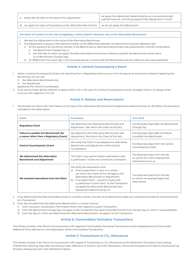| entity did not refer to the issue of the Adjustment             | we apply the Adjustment determined by us in an economically<br>justified manner, with the purpose of the Adjustment in mind |
|-----------------------------------------------------------------|-----------------------------------------------------------------------------------------------------------------------------|
| d) we apply the mean of Quotations as the Alternative Benchmark | we do not apply the Adjustment                                                                                              |

#### **The Rules of Conduct in the case of applying a central bank's reference rate as the Alternative Benchmark**

- 1. We add the Adjustment to the value of the Alternative Benchmark.
- 2. The Adjustment is equal to the historical median of the differences between the Benchmark and the reference rate:
	- 1/ for the period of 24 months (or shorter, if the Benchmark or Alternative Benchmark was published for a shorter time) before: a. the Benchmark Change Day, or
		- b. the first day on which we apply the Alternative Benchmark due to failure to publish the Benchmark (when there is no Benchmark Change Day);
	- 2/ for differences from each day in the reviewed period, in which both the Benchmark and the reference rate were published.

#### **Article 4. Central Counterparty's Event**

- 1. When a Central Counterparty's Event not resulting from a Regulatory Event occurs, from the day of its occurrence instead of applying the Benchmark we can use:
	- 1/ the Alternative Benchmark and
	- 2/ the Adjustment
	- applied by the Central Counterparty.
- 2. If we cannot freely decide whether to apply Article 4 (1) in the case of a Central Counterparty's Event, we apply Article 4 (1) always when it occurs with regard to LCH Ltd.

#### **Article 5. Notices and Reservations**

1. We provide the Client with information on the type of the Alternative Benchmark and Adjustment determined by us. We follow the procedure indicated in the table below:

| <b>Event</b>                                                                     | <b>Procedure</b>                                                                                                                                                                                                                                                                                                                                        | <b>Time limit</b>                                                                         |
|----------------------------------------------------------------------------------|---------------------------------------------------------------------------------------------------------------------------------------------------------------------------------------------------------------------------------------------------------------------------------------------------------------------------------------------------------|-------------------------------------------------------------------------------------------|
| <b>Regulatory Event</b>                                                          | We determine the Alternative Benchmark and<br>Adjustment. We inform the Client of this fact.                                                                                                                                                                                                                                                            | Five Business Days after the Benchmark<br>Change Day                                      |
| Failure to publish the Benchmark (for<br>a reason other than a Regulatory Event) | We determine the Alternative Benchmark and<br>Adjustment. We inform the Client of this fact.                                                                                                                                                                                                                                                            | Five Business Days after the failure<br>to publish the Benchmark                          |
| <b>Central Counterparty's Event</b>                                              | We notify the Client if we adopted the Alternative<br>Benchmark and Adjustment of the Central<br>Counterparty.                                                                                                                                                                                                                                          | Five Business Days from the Central<br>Counterparty's Event                               |
| We determined the Alternative<br><b>Benchmark and Adjustment</b>                 | The Client may submit his/her reservations with<br>a justification. It does not constitute a complaint.                                                                                                                                                                                                                                                 | Two Business Days from the day<br>on which the Client received the<br>information from us |
| We received reservations from the Client                                         | We verify the reservations and:<br>if we accept them in part or in whole –<br>al<br>we inform the Client of the changes to the<br>Alternative Benchmark or Adjustment;<br>if we reject them – we send a reply with<br>b)<br>a justification to the Client. To the Transaction<br>we apply the Alternative Benchmark and<br>Adjustment determined by us. | Two Business Days from the day<br>on which we received legitimate<br>reservations         |

2. If we determined the Alternative Benchmark in a timely manner, the lack of the Benchmark does not constitute the basis for the termination of a Transaction.

- 3. If we did not determine the Alternative Benchmark in a timely manner:
	- 1/ such a situation constitutes a Termination Event with regard to a given Transaction;
	- 2/ from the Benchmark Change Day, we apply to the Transaction the value of the Benchmark from the last day on which it was published;
	- 3/ from the day on which we determined the Alternative Benchmark, we apply it to the Transaction.

#### **Article 6. Commodities Derivative Transactions**

The Parties consider a No Permit Announcement with regard to Commodities Derivative Transactions as the Disappearance of Commodity Reference Price referred to in the Description of the Commodities Transactions.

#### **Article 7. Transactions in CO<sub>2</sub> Allowances**

The Parties consider a No Permit Announcement with regard to Transactions in CO<sub>2</sub> Allowances as the Settlement Disruption Event lasting 9 Settlement Working Days after the Delivery Date, referred to in Article 4 (3) of the Description of Forward Transactions of Sale of Greenhouse Gas Emission Allowances with Cash Settlement Option.